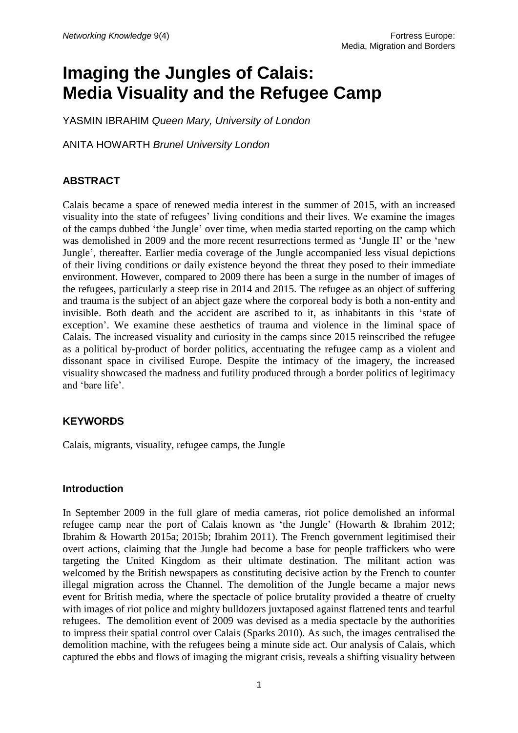# **Imaging the Jungles of Calais: Media Visuality and the Refugee Camp**

YASMIN IBRAHIM *Queen Mary, University of London*

ANITA HOWARTH *Brunel University London*

# **ABSTRACT**

Calais became a space of renewed media interest in the summer of 2015, with an increased visuality into the state of refugees' living conditions and their lives. We examine the images of the camps dubbed 'the Jungle' over time, when media started reporting on the camp which was demolished in 2009 and the more recent resurrections termed as 'Jungle II' or the 'new Jungle', thereafter. Earlier media coverage of the Jungle accompanied less visual depictions of their living conditions or daily existence beyond the threat they posed to their immediate environment. However, compared to 2009 there has been a surge in the number of images of the refugees, particularly a steep rise in 2014 and 2015. The refugee as an object of suffering and trauma is the subject of an abject gaze where the corporeal body is both a non-entity and invisible. Both death and the accident are ascribed to it, as inhabitants in this 'state of exception'. We examine these aesthetics of trauma and violence in the liminal space of Calais. The increased visuality and curiosity in the camps since 2015 reinscribed the refugee as a political by-product of border politics, accentuating the refugee camp as a violent and dissonant space in civilised Europe. Despite the intimacy of the imagery, the increased visuality showcased the madness and futility produced through a border politics of legitimacy and 'bare life'.

#### **KEYWORDS**

Calais, migrants, visuality, refugee camps, the Jungle

#### **Introduction**

In September 2009 in the full glare of media cameras, riot police demolished an informal refugee camp near the port of Calais known as 'the Jungle' (Howarth & Ibrahim 2012; Ibrahim & Howarth 2015a; 2015b; Ibrahim 2011). The French government legitimised their overt actions, claiming that the Jungle had become a base for people traffickers who were targeting the United Kingdom as their ultimate destination. The militant action was welcomed by the British newspapers as constituting decisive action by the French to counter illegal migration across the Channel. The demolition of the Jungle became a major news event for British media, where the spectacle of police brutality provided a theatre of cruelty with images of riot police and mighty bulldozers juxtaposed against flattened tents and tearful refugees. The demolition event of 2009 was devised as a media spectacle by the authorities to impress their spatial control over Calais (Sparks 2010). As such, the images centralised the demolition machine, with the refugees being a minute side act. Our analysis of Calais, which captured the ebbs and flows of imaging the migrant crisis, reveals a shifting visuality between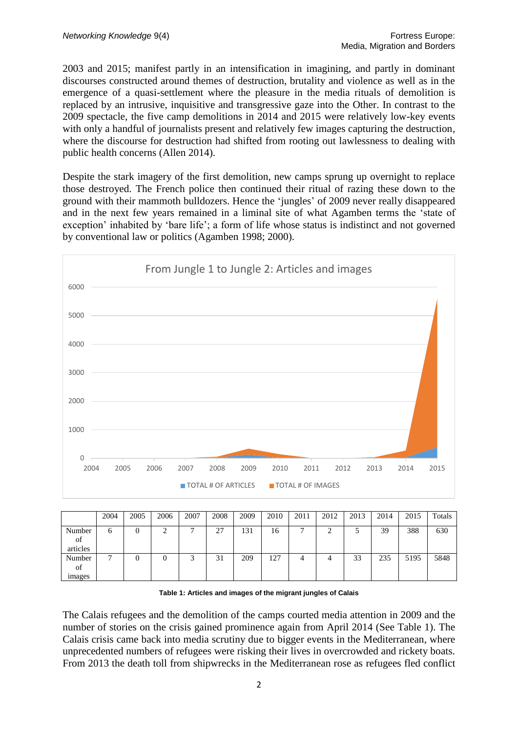2003 and 2015; manifest partly in an intensification in imagining, and partly in dominant discourses constructed around themes of destruction, brutality and violence as well as in the emergence of a quasi-settlement where the pleasure in the media rituals of demolition is replaced by an intrusive, inquisitive and transgressive gaze into the Other. In contrast to the 2009 spectacle, the five camp demolitions in 2014 and 2015 were relatively low-key events with only a handful of journalists present and relatively few images capturing the destruction, where the discourse for destruction had shifted from rooting out lawlessness to dealing with public health concerns (Allen 2014).

Despite the stark imagery of the first demolition, new camps sprung up overnight to replace those destroyed. The French police then continued their ritual of razing these down to the ground with their mammoth bulldozers. Hence the 'jungles' of 2009 never really disappeared and in the next few years remained in a liminal site of what Agamben terms the 'state of exception' inhabited by 'bare life'; a form of life whose status is indistinct and not governed by conventional law or politics (Agamben 1998; 2000).



|                               | 2004 | 2005 | 2006 | 2007 | 2008                | 2009 | 2010 | 2011 | 2012 | 2013 | 2014 | 2015 | Totals |
|-------------------------------|------|------|------|------|---------------------|------|------|------|------|------|------|------|--------|
| Number<br>of<br>articles      | O    | U    | ◠    | -    | רר<br>$\mathcal{L}$ | 131  | 16   |      | ⌒    |      | 39   | 388  | 630    |
| Number<br>of<br><i>images</i> | −    | U    |      |      | $\sim$<br>51        | 209  | 127  |      |      | 33   | 235  | 5195 | 5848   |

**Table 1: Articles and images of the migrant jungles of Calais**

The Calais refugees and the demolition of the camps courted media attention in 2009 and the number of stories on the crisis gained prominence again from April 2014 (See Table 1). The Calais crisis came back into media scrutiny due to bigger events in the Mediterranean, where unprecedented numbers of refugees were risking their lives in overcrowded and rickety boats. From 2013 the death toll from shipwrecks in the Mediterranean rose as refugees fled conflict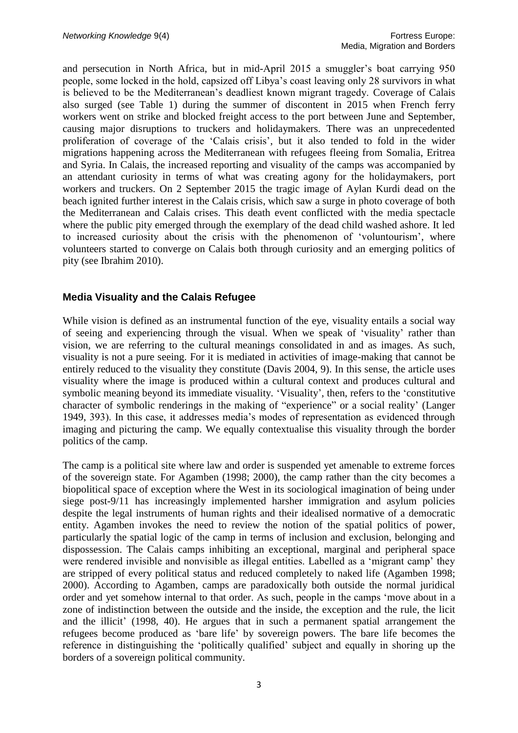and persecution in North Africa, but in mid-April 2015 a smuggler's boat carrying 950 people, some locked in the hold, capsized off Libya's coast leaving only 28 survivors in what is believed to be the Mediterranean's deadliest known migrant tragedy. Coverage of Calais also surged (see Table 1) during the summer of discontent in 2015 when French ferry workers went on strike and blocked freight access to the port between June and September, causing major disruptions to truckers and holidaymakers. There was an unprecedented proliferation of coverage of the 'Calais crisis', but it also tended to fold in the wider migrations happening across the Mediterranean with refugees fleeing from Somalia, Eritrea and Syria. In Calais, the increased reporting and visuality of the camps was accompanied by an attendant curiosity in terms of what was creating agony for the holidaymakers, port workers and truckers. On 2 September 2015 the tragic image of Aylan Kurdi dead on the beach ignited further interest in the Calais crisis, which saw a surge in photo coverage of both the Mediterranean and Calais crises. This death event conflicted with the media spectacle where the public pity emerged through the exemplary of the dead child washed ashore. It led to increased curiosity about the crisis with the phenomenon of 'voluntourism', where volunteers started to converge on Calais both through curiosity and an emerging politics of pity (see Ibrahim 2010).

# **Media Visuality and the Calais Refugee**

While vision is defined as an instrumental function of the eye, visuality entails a social way of seeing and experiencing through the visual. When we speak of 'visuality' rather than vision, we are referring to the cultural meanings consolidated in and as images. As such, visuality is not a pure seeing. For it is mediated in activities of image-making that cannot be entirely reduced to the visuality they constitute (Davis 2004, 9). In this sense, the article uses visuality where the image is produced within a cultural context and produces cultural and symbolic meaning beyond its immediate visuality. 'Visuality', then, refers to the 'constitutive character of symbolic renderings in the making of "experience" or a social reality' (Langer 1949, 393). In this case, it addresses media's modes of representation as evidenced through imaging and picturing the camp. We equally contextualise this visuality through the border politics of the camp.

The camp is a political site where law and order is suspended yet amenable to extreme forces of the sovereign state. For Agamben (1998; 2000), the camp rather than the city becomes a biopolitical space of exception where the West in its sociological imagination of being under siege post-9/11 has increasingly implemented harsher immigration and asylum policies despite the legal instruments of human rights and their idealised normative of a democratic entity. Agamben invokes the need to review the notion of the spatial politics of power, particularly the spatial logic of the camp in terms of inclusion and exclusion, belonging and dispossession. The Calais camps inhibiting an exceptional, marginal and peripheral space were rendered invisible and nonvisible as illegal entities. Labelled as a 'migrant camp' they are stripped of every political status and reduced completely to naked life (Agamben 1998; 2000). According to Agamben, camps are paradoxically both outside the normal juridical order and yet somehow internal to that order. As such, people in the camps 'move about in a zone of indistinction between the outside and the inside, the exception and the rule, the licit and the illicit' (1998, 40). He argues that in such a permanent spatial arrangement the refugees become produced as 'bare life' by sovereign powers. The bare life becomes the reference in distinguishing the 'politically qualified' subject and equally in shoring up the borders of a sovereign political community.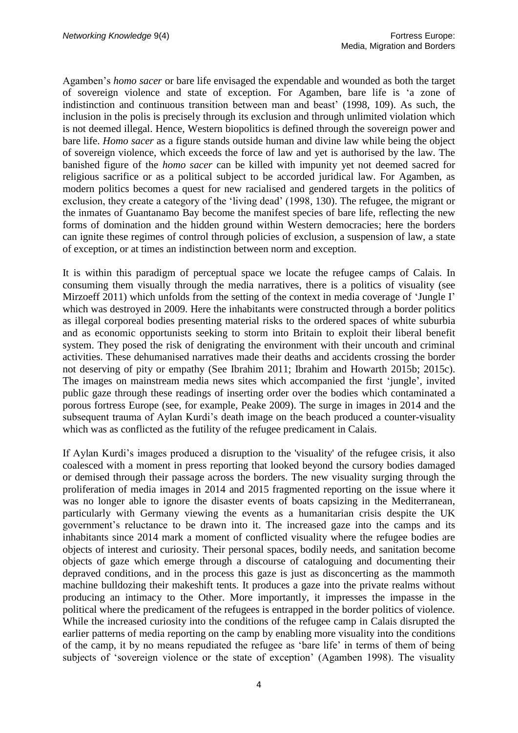Agamben's *homo sacer* or bare life envisaged the expendable and wounded as both the target of sovereign violence and state of exception. For Agamben, bare life is 'a zone of indistinction and continuous transition between man and beast' (1998, 109). As such, the inclusion in the polis is precisely through its exclusion and through unlimited violation which is not deemed illegal. Hence, Western biopolitics is defined through the sovereign power and bare life. *Homo sacer* as a figure stands outside human and divine law while being the object of sovereign violence, which exceeds the force of law and yet is authorised by the law. The banished figure of the *homo sacer* can be killed with impunity yet not deemed sacred for religious sacrifice or as a political subject to be accorded juridical law. For Agamben, as modern politics becomes a quest for new racialised and gendered targets in the politics of exclusion, they create a category of the 'living dead' (1998, 130). The refugee, the migrant or the inmates of Guantanamo Bay become the manifest species of bare life, reflecting the new forms of domination and the hidden ground within Western democracies; here the borders can ignite these regimes of control through policies of exclusion, a suspension of law, a state of exception, or at times an indistinction between norm and exception.

It is within this paradigm of perceptual space we locate the refugee camps of Calais. In consuming them visually through the media narratives, there is a politics of visuality (see Mirzoeff 2011) which unfolds from the setting of the context in media coverage of 'Jungle I' which was destroyed in 2009. Here the inhabitants were constructed through a border politics as illegal corporeal bodies presenting material risks to the ordered spaces of white suburbia and as economic opportunists seeking to storm into Britain to exploit their liberal benefit system. They posed the risk of denigrating the environment with their uncouth and criminal activities. These dehumanised narratives made their deaths and accidents crossing the border not deserving of pity or empathy (See Ibrahim 2011; Ibrahim and Howarth 2015b; 2015c). The images on mainstream media news sites which accompanied the first 'jungle', invited public gaze through these readings of inserting order over the bodies which contaminated a porous fortress Europe (see, for example, Peake 2009). The surge in images in 2014 and the subsequent trauma of Aylan Kurdi's death image on the beach produced a counter-visuality which was as conflicted as the futility of the refugee predicament in Calais.

If Aylan Kurdi's images produced a disruption to the 'visuality' of the refugee crisis, it also coalesced with a moment in press reporting that looked beyond the cursory bodies damaged or demised through their passage across the borders. The new visuality surging through the proliferation of media images in 2014 and 2015 fragmented reporting on the issue where it was no longer able to ignore the disaster events of boats capsizing in the Mediterranean, particularly with Germany viewing the events as a humanitarian crisis despite the UK government's reluctance to be drawn into it. The increased gaze into the camps and its inhabitants since 2014 mark a moment of conflicted visuality where the refugee bodies are objects of interest and curiosity. Their personal spaces, bodily needs, and sanitation become objects of gaze which emerge through a discourse of cataloguing and documenting their depraved conditions, and in the process this gaze is just as disconcerting as the mammoth machine bulldozing their makeshift tents. It produces a gaze into the private realms without producing an intimacy to the Other. More importantly, it impresses the impasse in the political where the predicament of the refugees is entrapped in the border politics of violence. While the increased curiosity into the conditions of the refugee camp in Calais disrupted the earlier patterns of media reporting on the camp by enabling more visuality into the conditions of the camp, it by no means repudiated the refugee as 'bare life' in terms of them of being subjects of 'sovereign violence or the state of exception' (Agamben 1998). The visuality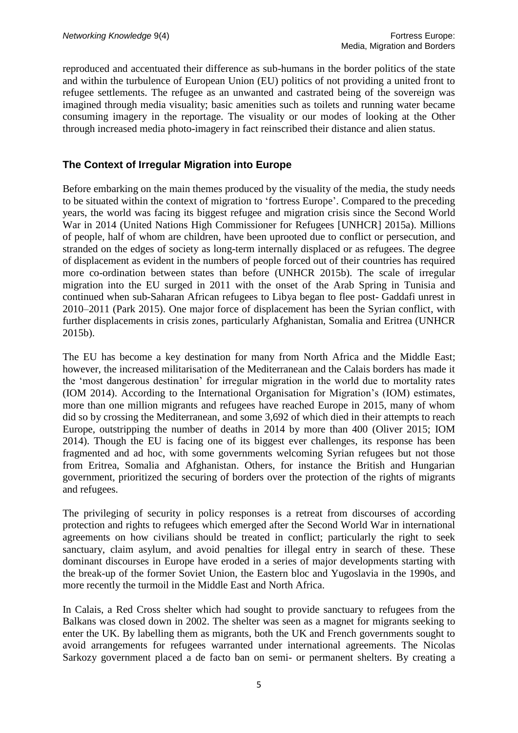reproduced and accentuated their difference as sub-humans in the border politics of the state and within the turbulence of European Union (EU) politics of not providing a united front to refugee settlements. The refugee as an unwanted and castrated being of the sovereign was imagined through media visuality; basic amenities such as toilets and running water became consuming imagery in the reportage. The visuality or our modes of looking at the Other through increased media photo-imagery in fact reinscribed their distance and alien status.

#### **The Context of Irregular Migration into Europe**

Before embarking on the main themes produced by the visuality of the media, the study needs to be situated within the context of migration to 'fortress Europe'. Compared to the preceding years, the world was facing its biggest refugee and migration crisis since the Second World War in 2014 (United Nations High Commissioner for Refugees [UNHCR] 2015a). Millions of people, half of whom are children, have been uprooted due to conflict or persecution, and stranded on the edges of society as long-term internally displaced or as refugees. The degree of displacement as evident in the numbers of people forced out of their countries has required more co-ordination between states than before (UNHCR 2015b). The scale of irregular migration into the EU surged in 2011 with the onset of the Arab Spring in Tunisia and continued when sub-Saharan African refugees to Libya began to flee post- Gaddafi unrest in 2010–2011 (Park 2015). One major force of displacement has been the Syrian conflict, with further displacements in crisis zones, particularly Afghanistan, Somalia and Eritrea (UNHCR 2015b).

The EU has become a key destination for many from North Africa and the Middle East; however, the increased militarisation of the Mediterranean and the Calais borders has made it the 'most dangerous destination' for irregular migration in the world due to mortality rates (IOM 2014). According to the International Organisation for Migration's (IOM) estimates, more than one million migrants and refugees have reached Europe in 2015, many of whom did so by crossing the Mediterranean, and some 3,692 of which died in their attempts to reach Europe, outstripping the number of deaths in 2014 by more than 400 (Oliver 2015; IOM 2014). Though the EU is facing one of its biggest ever challenges, its response has been fragmented and ad hoc, with some governments welcoming Syrian refugees but not those from Eritrea, Somalia and Afghanistan. Others, for instance the British and Hungarian government, prioritized the securing of borders over the protection of the rights of migrants and refugees.

The privileging of security in policy responses is a retreat from discourses of according protection and rights to refugees which emerged after the Second World War in international agreements on how civilians should be treated in conflict; particularly the right to seek sanctuary, claim asylum, and avoid penalties for illegal entry in search of these. These dominant discourses in Europe have eroded in a series of major developments starting with the break-up of the former Soviet Union, the Eastern bloc and Yugoslavia in the 1990s, and more recently the turmoil in the Middle East and North Africa.

In Calais, a Red Cross shelter which had sought to provide sanctuary to refugees from the Balkans was closed down in 2002. The shelter was seen as a magnet for migrants seeking to enter the UK. By labelling them as migrants, both the UK and French governments sought to avoid arrangements for refugees warranted under international agreements. The Nicolas Sarkozy government placed a de facto ban on semi- or permanent shelters. By creating a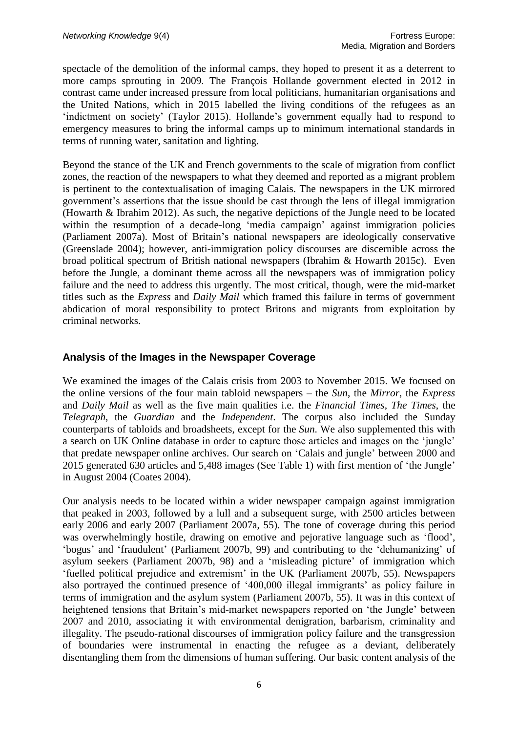spectacle of the demolition of the informal camps, they hoped to present it as a deterrent to more camps sprouting in 2009. The François Hollande government elected in 2012 in contrast came under increased pressure from local politicians, humanitarian organisations and the United Nations, which in 2015 labelled the living conditions of the refugees as an 'indictment on society' (Taylor 2015). Hollande's government equally had to respond to emergency measures to bring the informal camps up to minimum international standards in terms of running water, sanitation and lighting.

Beyond the stance of the UK and French governments to the scale of migration from conflict zones, the reaction of the newspapers to what they deemed and reported as a migrant problem is pertinent to the contextualisation of imaging Calais. The newspapers in the UK mirrored government's assertions that the issue should be cast through the lens of illegal immigration (Howarth & Ibrahim 2012). As such, the negative depictions of the Jungle need to be located within the resumption of a decade-long 'media campaign' against immigration policies (Parliament 2007a). Most of Britain's national newspapers are ideologically conservative (Greenslade 2004); however, anti-immigration policy discourses are discernible across the broad political spectrum of British national newspapers (Ibrahim & Howarth 2015c). Even before the Jungle, a dominant theme across all the newspapers was of immigration policy failure and the need to address this urgently. The most critical, though, were the mid-market titles such as the *Express* and *Daily Mail* which framed this failure in terms of government abdication of moral responsibility to protect Britons and migrants from exploitation by criminal networks.

# **Analysis of the Images in the Newspaper Coverage**

We examined the images of the Calais crisis from 2003 to November 2015. We focused on the online versions of the four main tabloid newspapers – the *Sun*, the *Mirror*, the *Express* and *Daily Mail* as well as the five main qualities i.e. the *Financial Times*, *The Times*, the *Telegraph*, the *Guardian* and the *Independent*. The corpus also included the Sunday counterparts of tabloids and broadsheets, except for the *Sun*. We also supplemented this with a search on UK Online database in order to capture those articles and images on the 'jungle' that predate newspaper online archives. Our search on 'Calais and jungle' between 2000 and 2015 generated 630 articles and 5,488 images (See Table 1) with first mention of 'the Jungle' in August 2004 (Coates 2004).

Our analysis needs to be located within a wider newspaper campaign against immigration that peaked in 2003, followed by a lull and a subsequent surge, with 2500 articles between early 2006 and early 2007 (Parliament 2007a, 55). The tone of coverage during this period was overwhelmingly hostile, drawing on emotive and pejorative language such as 'flood', 'bogus' and 'fraudulent' (Parliament 2007b, 99) and contributing to the 'dehumanizing' of asylum seekers (Parliament 2007b, 98) and a 'misleading picture' of immigration which 'fuelled political prejudice and extremism' in the UK (Parliament 2007b, 55). Newspapers also portrayed the continued presence of '400,000 illegal immigrants' as policy failure in terms of immigration and the asylum system (Parliament 2007b, 55). It was in this context of heightened tensions that Britain's mid-market newspapers reported on 'the Jungle' between 2007 and 2010, associating it with environmental denigration, barbarism, criminality and illegality. The pseudo-rational discourses of immigration policy failure and the transgression of boundaries were instrumental in enacting the refugee as a deviant, deliberately disentangling them from the dimensions of human suffering. Our basic content analysis of the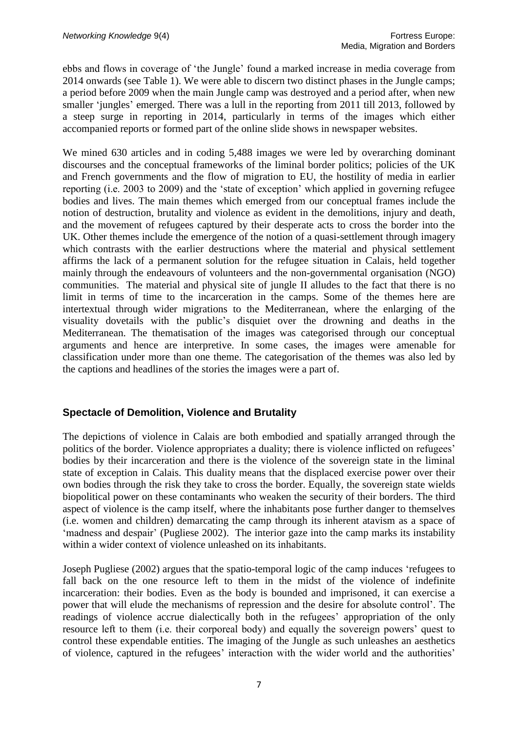ebbs and flows in coverage of 'the Jungle' found a marked increase in media coverage from 2014 onwards (see Table 1). We were able to discern two distinct phases in the Jungle camps; a period before 2009 when the main Jungle camp was destroyed and a period after, when new smaller 'jungles' emerged. There was a lull in the reporting from 2011 till 2013, followed by a steep surge in reporting in 2014, particularly in terms of the images which either accompanied reports or formed part of the online slide shows in newspaper websites.

We mined 630 articles and in coding 5,488 images we were led by overarching dominant discourses and the conceptual frameworks of the liminal border politics; policies of the UK and French governments and the flow of migration to EU, the hostility of media in earlier reporting (i.e. 2003 to 2009) and the 'state of exception' which applied in governing refugee bodies and lives. The main themes which emerged from our conceptual frames include the notion of destruction, brutality and violence as evident in the demolitions, injury and death, and the movement of refugees captured by their desperate acts to cross the border into the UK. Other themes include the emergence of the notion of a quasi-settlement through imagery which contrasts with the earlier destructions where the material and physical settlement affirms the lack of a permanent solution for the refugee situation in Calais, held together mainly through the endeavours of volunteers and the non-governmental organisation (NGO) communities. The material and physical site of jungle II alludes to the fact that there is no limit in terms of time to the incarceration in the camps. Some of the themes here are intertextual through wider migrations to the Mediterranean, where the enlarging of the visuality dovetails with the public's disquiet over the drowning and deaths in the Mediterranean. The thematisation of the images was categorised through our conceptual arguments and hence are interpretive. In some cases, the images were amenable for classification under more than one theme. The categorisation of the themes was also led by the captions and headlines of the stories the images were a part of.

# **Spectacle of Demolition, Violence and Brutality**

The depictions of violence in Calais are both embodied and spatially arranged through the politics of the border. Violence appropriates a duality; there is violence inflicted on refugees' bodies by their incarceration and there is the violence of the sovereign state in the liminal state of exception in Calais. This duality means that the displaced exercise power over their own bodies through the risk they take to cross the border. Equally, the sovereign state wields biopolitical power on these contaminants who weaken the security of their borders. The third aspect of violence is the camp itself, where the inhabitants pose further danger to themselves (i.e. women and children) demarcating the camp through its inherent atavism as a space of 'madness and despair' (Pugliese 2002). The interior gaze into the camp marks its instability within a wider context of violence unleashed on its inhabitants.

Joseph Pugliese (2002) argues that the spatio-temporal logic of the camp induces 'refugees to fall back on the one resource left to them in the midst of the violence of indefinite incarceration: their bodies. Even as the body is bounded and imprisoned, it can exercise a power that will elude the mechanisms of repression and the desire for absolute control'. The readings of violence accrue dialectically both in the refugees' appropriation of the only resource left to them (i.e. their corporeal body) and equally the sovereign powers' quest to control these expendable entities. The imaging of the Jungle as such unleashes an aesthetics of violence, captured in the refugees' interaction with the wider world and the authorities'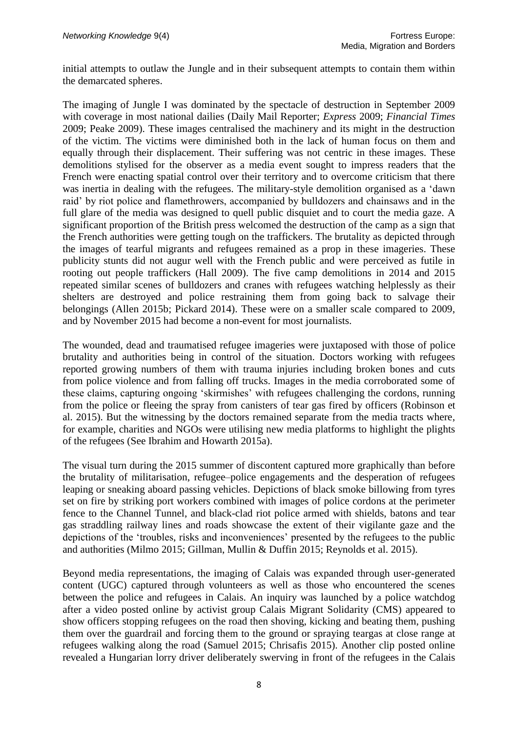initial attempts to outlaw the Jungle and in their subsequent attempts to contain them within the demarcated spheres.

The imaging of Jungle I was dominated by the spectacle of destruction in September 2009 with coverage in most national dailies (Daily Mail Reporter; *Express* 2009; *Financial Times* 2009; Peake 2009). These images centralised the machinery and its might in the destruction of the victim. The victims were diminished both in the lack of human focus on them and equally through their displacement. Their suffering was not centric in these images. These demolitions stylised for the observer as a media event sought to impress readers that the French were enacting spatial control over their territory and to overcome criticism that there was inertia in dealing with the refugees. The military-style demolition organised as a 'dawn raid' by riot police and flamethrowers, accompanied by bulldozers and chainsaws and in the full glare of the media was designed to quell public disquiet and to court the media gaze. A significant proportion of the British press welcomed the destruction of the camp as a sign that the French authorities were getting tough on the traffickers. The brutality as depicted through the images of tearful migrants and refugees remained as a prop in these imageries. These publicity stunts did not augur well with the French public and were perceived as futile in rooting out people traffickers (Hall 2009). The five camp demolitions in 2014 and 2015 repeated similar scenes of bulldozers and cranes with refugees watching helplessly as their shelters are destroyed and police restraining them from going back to salvage their belongings (Allen 2015b; Pickard 2014). These were on a smaller scale compared to 2009, and by November 2015 had become a non-event for most journalists.

The wounded, dead and traumatised refugee imageries were juxtaposed with those of police brutality and authorities being in control of the situation. Doctors working with refugees reported growing numbers of them with trauma injuries including broken bones and cuts from police violence and from falling off trucks. Images in the media corroborated some of these claims, capturing ongoing 'skirmishes' with refugees challenging the cordons, running from the police or fleeing the spray from canisters of tear gas fired by officers (Robinson et al. 2015). But the witnessing by the doctors remained separate from the media tracts where, for example, charities and NGOs were utilising new media platforms to highlight the plights of the refugees (See Ibrahim and Howarth 2015a).

The visual turn during the 2015 summer of discontent captured more graphically than before the brutality of militarisation, refugee–police engagements and the desperation of refugees leaping or sneaking aboard passing vehicles. Depictions of black smoke billowing from tyres set on fire by striking port workers combined with images of police cordons at the perimeter fence to the Channel Tunnel, and black-clad riot police armed with shields, batons and tear gas straddling railway lines and roads showcase the extent of their vigilante gaze and the depictions of the 'troubles, risks and inconveniences' presented by the refugees to the public and authorities (Milmo 2015; Gillman, Mullin & Duffin 2015; Reynolds et al. 2015).

Beyond media representations, the imaging of Calais was expanded through user-generated content (UGC) captured through volunteers as well as those who encountered the scenes between the police and refugees in Calais. An inquiry was launched by a police watchdog after a video posted online by activist group Calais Migrant Solidarity (CMS) appeared to show officers stopping refugees on the road then shoving, kicking and beating them, pushing them over the guardrail and forcing them to the ground or spraying teargas at close range at refugees walking along the road (Samuel 2015; Chrisafis 2015). Another clip posted online revealed a Hungarian lorry driver deliberately swerving in front of the refugees in the Calais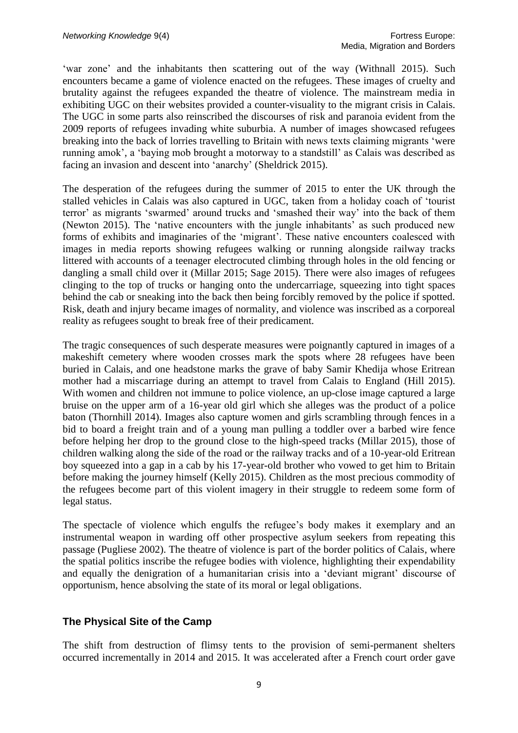'war zone' and the inhabitants then scattering out of the way (Withnall 2015). Such encounters became a game of violence enacted on the refugees. These images of cruelty and brutality against the refugees expanded the theatre of violence. The mainstream media in exhibiting UGC on their websites provided a counter-visuality to the migrant crisis in Calais. The UGC in some parts also reinscribed the discourses of risk and paranoia evident from the 2009 reports of refugees invading white suburbia. A number of images showcased refugees breaking into the back of lorries travelling to Britain with news texts claiming migrants 'were running amok', a 'baying mob brought a motorway to a standstill' as Calais was described as facing an invasion and descent into 'anarchy' (Sheldrick 2015).

The desperation of the refugees during the summer of 2015 to enter the UK through the stalled vehicles in Calais was also captured in UGC, taken from a holiday coach of 'tourist terror' as migrants 'swarmed' around trucks and 'smashed their way' into the back of them (Newton 2015). The 'native encounters with the jungle inhabitants' as such produced new forms of exhibits and imaginaries of the 'migrant'. These native encounters coalesced with images in media reports showing refugees walking or running alongside railway tracks littered with accounts of a teenager electrocuted climbing through holes in the old fencing or dangling a small child over it (Millar 2015; Sage 2015). There were also images of refugees clinging to the top of trucks or hanging onto the undercarriage, squeezing into tight spaces behind the cab or sneaking into the back then being forcibly removed by the police if spotted. Risk, death and injury became images of normality, and violence was inscribed as a corporeal reality as refugees sought to break free of their predicament.

The tragic consequences of such desperate measures were poignantly captured in images of a makeshift cemetery where wooden crosses mark the spots where 28 refugees have been buried in Calais, and one headstone marks the grave of baby Samir Khedija whose Eritrean mother had a miscarriage during an attempt to travel from Calais to England (Hill 2015). With women and children not immune to police violence, an up-close image captured a large bruise on the upper arm of a 16-year old girl which she alleges was the product of a police baton (Thornhill 2014). Images also capture women and girls scrambling through fences in a bid to board a freight train and of a young man pulling a toddler over a barbed wire fence before helping her drop to the ground close to the high-speed tracks (Millar 2015), those of children walking along the side of the road or the railway tracks and of a 10-year-old Eritrean boy squeezed into a gap in a cab by his 17-year-old brother who vowed to get him to Britain before making the journey himself (Kelly 2015). Children as the most precious commodity of the refugees become part of this violent imagery in their struggle to redeem some form of legal status.

The spectacle of violence which engulfs the refugee's body makes it exemplary and an instrumental weapon in warding off other prospective asylum seekers from repeating this passage (Pugliese 2002). The theatre of violence is part of the border politics of Calais, where the spatial politics inscribe the refugee bodies with violence, highlighting their expendability and equally the denigration of a humanitarian crisis into a 'deviant migrant' discourse of opportunism, hence absolving the state of its moral or legal obligations.

#### **The Physical Site of the Camp**

The shift from destruction of flimsy tents to the provision of semi-permanent shelters occurred incrementally in 2014 and 2015. It was accelerated after a French court order gave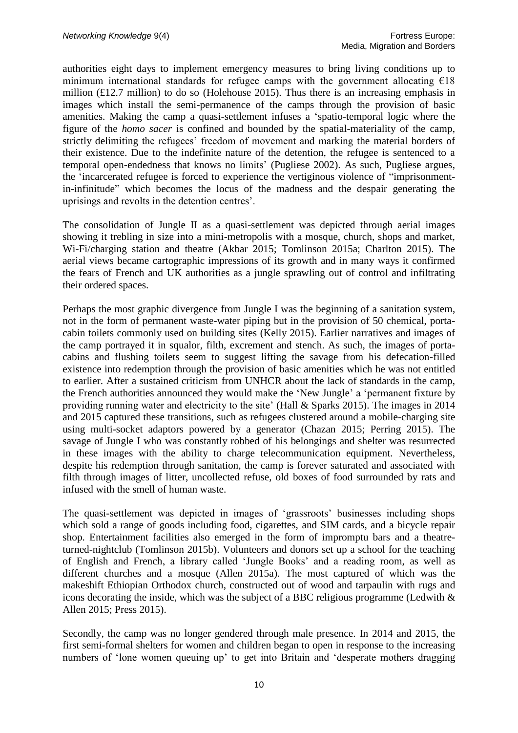authorities eight days to implement emergency measures to bring living conditions up to minimum international standards for refugee camps with the government allocating  $E18$ million (£12.7 million) to do so (Holehouse 2015). Thus there is an increasing emphasis in images which install the semi-permanence of the camps through the provision of basic amenities. Making the camp a quasi-settlement infuses a 'spatio-temporal logic where the figure of the *homo sacer* is confined and bounded by the spatial-materiality of the camp, strictly delimiting the refugees' freedom of movement and marking the material borders of their existence. Due to the indefinite nature of the detention, the refugee is sentenced to a temporal open-endedness that knows no limits' (Pugliese 2002). As such, Pugliese argues, the 'incarcerated refugee is forced to experience the vertiginous violence of "imprisonmentin-infinitude" which becomes the locus of the madness and the despair generating the uprisings and revolts in the detention centres'.

The consolidation of Jungle II as a quasi-settlement was depicted through aerial images showing it trebling in size into a mini-metropolis with a mosque, church, shops and market, Wi-Fi/charging station and theatre (Akbar 2015; Tomlinson 2015a; Charlton 2015). The aerial views became cartographic impressions of its growth and in many ways it confirmed the fears of French and UK authorities as a jungle sprawling out of control and infiltrating their ordered spaces.

Perhaps the most graphic divergence from Jungle I was the beginning of a sanitation system, not in the form of permanent waste-water piping but in the provision of 50 chemical, portacabin toilets commonly used on building sites (Kelly 2015). Earlier narratives and images of the camp portrayed it in squalor, filth, excrement and stench. As such, the images of portacabins and flushing toilets seem to suggest lifting the savage from his defecation-filled existence into redemption through the provision of basic amenities which he was not entitled to earlier. After a sustained criticism from UNHCR about the lack of standards in the camp, the French authorities announced they would make the 'New Jungle' a 'permanent fixture by providing running water and electricity to the site' (Hall & Sparks 2015). The images in 2014 and 2015 captured these transitions, such as refugees clustered around a mobile-charging site using multi-socket adaptors powered by a generator (Chazan 2015; Perring 2015). The savage of Jungle I who was constantly robbed of his belongings and shelter was resurrected in these images with the ability to charge telecommunication equipment. Nevertheless, despite his redemption through sanitation, the camp is forever saturated and associated with filth through images of litter, uncollected refuse, old boxes of food surrounded by rats and infused with the smell of human waste.

The quasi-settlement was depicted in images of 'grassroots' businesses including shops which sold a range of goods including food, cigarettes, and SIM cards, and a bicycle repair shop. Entertainment facilities also emerged in the form of impromptu bars and a theatreturned-nightclub (Tomlinson 2015b). Volunteers and donors set up a school for the teaching of English and French, a library called 'Jungle Books' and a reading room, as well as different churches and a mosque (Allen 2015a). The most captured of which was the makeshift Ethiopian Orthodox church, constructed out of wood and tarpaulin with rugs and icons decorating the inside, which was the subject of a BBC religious programme (Ledwith & Allen 2015; Press 2015).

Secondly, the camp was no longer gendered through male presence. In 2014 and 2015, the first semi-formal shelters for women and children began to open in response to the increasing numbers of 'lone women queuing up' to get into Britain and 'desperate mothers dragging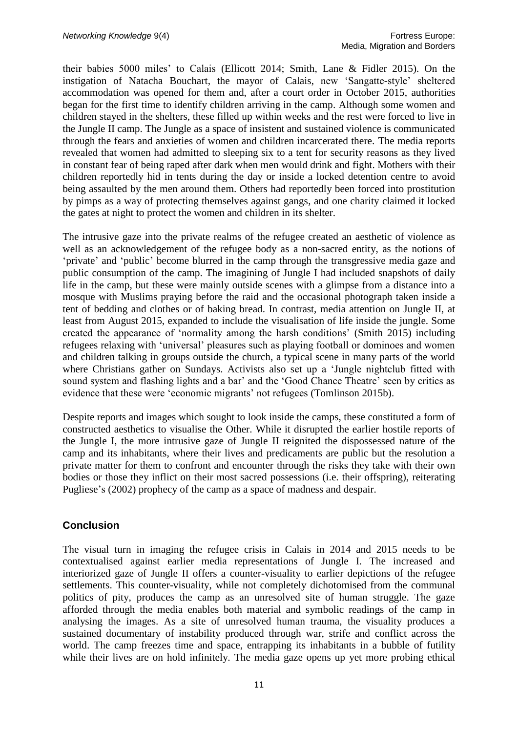their babies 5000 miles' to Calais (Ellicott 2014; Smith, Lane & Fidler 2015). On the instigation of Natacha Bouchart, the mayor of Calais, new 'Sangatte-style' sheltered accommodation was opened for them and, after a court order in October 2015, authorities began for the first time to identify children arriving in the camp. Although some women and children stayed in the shelters, these filled up within weeks and the rest were forced to live in the Jungle II camp. The Jungle as a space of insistent and sustained violence is communicated through the fears and anxieties of women and children incarcerated there. The media reports revealed that women had admitted to sleeping six to a tent for security reasons as they lived in constant fear of being raped after dark when men would drink and fight. Mothers with their children reportedly hid in tents during the day or inside a locked detention centre to avoid being assaulted by the men around them. Others had reportedly been forced into prostitution by pimps as a way of protecting themselves against gangs, and one charity claimed it locked the gates at night to protect the women and children in its shelter.

The intrusive gaze into the private realms of the refugee created an aesthetic of violence as well as an acknowledgement of the refugee body as a non-sacred entity, as the notions of 'private' and 'public' become blurred in the camp through the transgressive media gaze and public consumption of the camp. The imagining of Jungle I had included snapshots of daily life in the camp, but these were mainly outside scenes with a glimpse from a distance into a mosque with Muslims praying before the raid and the occasional photograph taken inside a tent of bedding and clothes or of baking bread. In contrast, media attention on Jungle II, at least from August 2015, expanded to include the visualisation of life inside the jungle. Some created the appearance of 'normality among the harsh conditions' (Smith 2015) including refugees relaxing with 'universal' pleasures such as playing football or dominoes and women and children talking in groups outside the church, a typical scene in many parts of the world where Christians gather on Sundays. Activists also set up a 'Jungle nightclub fitted with sound system and flashing lights and a bar' and the 'Good Chance Theatre' seen by critics as evidence that these were 'economic migrants' not refugees (Tomlinson 2015b).

Despite reports and images which sought to look inside the camps, these constituted a form of constructed aesthetics to visualise the Other. While it disrupted the earlier hostile reports of the Jungle I, the more intrusive gaze of Jungle II reignited the dispossessed nature of the camp and its inhabitants, where their lives and predicaments are public but the resolution a private matter for them to confront and encounter through the risks they take with their own bodies or those they inflict on their most sacred possessions (i.e. their offspring), reiterating Pugliese's (2002) prophecy of the camp as a space of madness and despair.

#### **Conclusion**

The visual turn in imaging the refugee crisis in Calais in 2014 and 2015 needs to be contextualised against earlier media representations of Jungle I. The increased and interiorized gaze of Jungle II offers a counter-visuality to earlier depictions of the refugee settlements. This counter-visuality, while not completely dichotomised from the communal politics of pity, produces the camp as an unresolved site of human struggle. The gaze afforded through the media enables both material and symbolic readings of the camp in analysing the images. As a site of unresolved human trauma, the visuality produces a sustained documentary of instability produced through war, strife and conflict across the world. The camp freezes time and space, entrapping its inhabitants in a bubble of futility while their lives are on hold infinitely. The media gaze opens up yet more probing ethical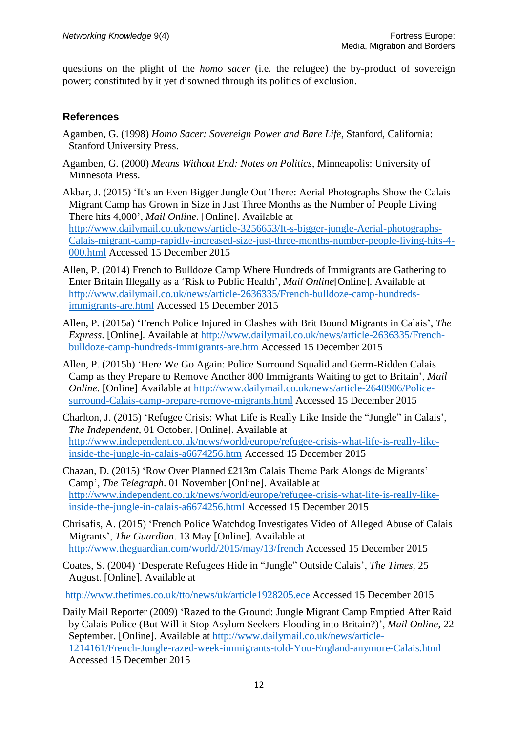questions on the plight of the *homo sacer* (i.e. the refugee) the by-product of sovereign power; constituted by it yet disowned through its politics of exclusion.

#### **References**

- Agamben, G. (1998) *Homo Sacer: Sovereign Power and Bare Life*, Stanford, California: Stanford University Press.
- Agamben, G. (2000) *Means Without End: Notes on Politics*, Minneapolis: University of Minnesota Press.
- Akbar, J. (2015) 'It's an Even Bigger Jungle Out There: Aerial Photographs Show the Calais Migrant Camp has Grown in Size in Just Three Months as the Number of People Living There hits 4,000', *Mail Online*. [Online]. Available at [http://www.dailymail.co.uk/news/article-3256653/It-s-bigger-jungle-Aerial-photographs-](http://www.dailymail.co.uk/news/article-3256653/It-s-bigger-jungle-Aerial-photographs-Calais-migrant-camp-rapidly-increased-size-just-three-months-number-people-living-hits-4-000.html)[Calais-migrant-camp-rapidly-increased-size-just-three-months-number-people-living-hits-4-](http://www.dailymail.co.uk/news/article-3256653/It-s-bigger-jungle-Aerial-photographs-Calais-migrant-camp-rapidly-increased-size-just-three-months-number-people-living-hits-4-000.html) [000.html](http://www.dailymail.co.uk/news/article-3256653/It-s-bigger-jungle-Aerial-photographs-Calais-migrant-camp-rapidly-increased-size-just-three-months-number-people-living-hits-4-000.html) Accessed 15 December 2015
- Allen, P. (2014) French to Bulldoze Camp Where Hundreds of Immigrants are Gathering to Enter Britain Illegally as a 'Risk to Public Health', *Mail Online*[Online]. Available at [http://www.dailymail.co.uk/news/article-2636335/French-bulldoze-camp-hundreds](http://www.dailymail.co.uk/news/article-2636335/French-bulldoze-camp-hundreds-immigrants-are.html)[immigrants-are.html](http://www.dailymail.co.uk/news/article-2636335/French-bulldoze-camp-hundreds-immigrants-are.html) Accessed 15 December 2015
- Allen, P. (2015a) 'French Police Injured in Clashes with Brit Bound Migrants in Calais', *The Express*. [Online]. Available at [http://www.dailymail.co.uk/news/article-2636335/French](http://www.dailymail.co.uk/news/article-2636335/French-bulldoze-camp-hundreds-immigrants-are.htm)[bulldoze-camp-hundreds-immigrants-are.htm](http://www.dailymail.co.uk/news/article-2636335/French-bulldoze-camp-hundreds-immigrants-are.htm) Accessed 15 December 2015
- Allen, P. (2015b) 'Here We Go Again: Police Surround Squalid and Germ-Ridden Calais Camp as they Prepare to Remove Another 800 Immigrants Waiting to get to Britain', *Mail Online*. [Online] Available at [http://www.dailymail.co.uk/news/article-2640906/Police](http://www.dailymail.co.uk/news/article-2640906/Police-surround-Calais-camp-prepare-remove-migrants.html)[surround-Calais-camp-prepare-remove-migrants.html](http://www.dailymail.co.uk/news/article-2640906/Police-surround-Calais-camp-prepare-remove-migrants.html) Accessed 15 December 2015
- Charlton, J. (2015) 'Refugee Crisis: What Life is Really Like Inside the "Jungle" in Calais', *The Independent,* 01 October. [Online]. Available at [http://www.independent.co.uk/news/world/europe/refugee-crisis-what-life-is-really-like](http://www.independent.co.uk/news/world/europe/refugee-crisis-what-life-is-really-like-inside-the-jungle-in-calais-a6674256.htm)[inside-the-jungle-in-calais-a6674256.htm](http://www.independent.co.uk/news/world/europe/refugee-crisis-what-life-is-really-like-inside-the-jungle-in-calais-a6674256.htm) Accessed 15 December 2015
- Chazan, D. (2015) 'Row Over Planned £213m Calais Theme Park Alongside Migrants' Camp', *The Telegraph*. 01 November [Online]. Available at [http://www.independent.co.uk/news/world/europe/refugee-crisis-what-life-is-really-like](http://www.independent.co.uk/news/world/europe/refugee-crisis-what-life-is-really-like-inside-the-jungle-in-calais-a6674256.html)[inside-the-jungle-in-calais-a6674256.html](http://www.independent.co.uk/news/world/europe/refugee-crisis-what-life-is-really-like-inside-the-jungle-in-calais-a6674256.html) Accessed 15 December 2015
- Chrisafis, A. (2015) 'French Police Watchdog Investigates Video of Alleged Abuse of Calais Migrants', *The Guardian*. 13 May [Online]. Available at <http://www.theguardian.com/world/2015/may/13/french> Accessed 15 December 2015
- Coates, S. (2004) 'Desperate Refugees Hide in "Jungle" Outside Calais', *The Times,* 25 August. [Online]. Available at

<http://www.thetimes.co.uk/tto/news/uk/article1928205.ece> Accessed 15 December 2015

Daily Mail Reporter (2009) 'Razed to the Ground: Jungle Migrant Camp Emptied After Raid by Calais Police (But Will it Stop Asylum Seekers Flooding into Britain?)', *Mail Online*, 22 September. [Online]. Available at [http://www.dailymail.co.uk/news/article-](http://www.dailymail.co.uk/news/article-1214161/French-Jungle-razed-week-immigrants-told-You-England-anymore-Calais.html)[1214161/French-Jungle-razed-week-immigrants-told-You-England-anymore-Calais.html](http://www.dailymail.co.uk/news/article-1214161/French-Jungle-razed-week-immigrants-told-You-England-anymore-Calais.html) Accessed 15 December 2015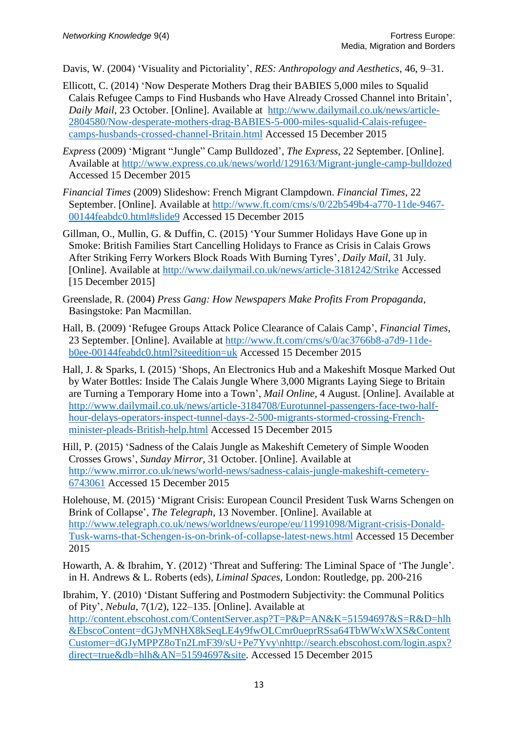Davis, W. (2004) 'Visuality and Pictoriality', *RES: Anthropology and Aesthetics*, 46, 9–31.

- Ellicott, C. (2014) 'Now Desperate Mothers Drag their BABIES 5,000 miles to Squalid Calais Refugee Camps to Find Husbands who Have Already Crossed Channel into Britain', *Daily Mail*, 23 October. [Online]. Available at [http://www.dailymail.co.uk/news/article-](http://www.dailymail.co.uk/news/article-2804580/Now-desperate-mothers-drag-BABIES-5-000-miles-squalid-Calais-refugee-camps-husbands-crossed-channel-Britain.html)[2804580/Now-desperate-mothers-drag-BABIES-5-000-miles-squalid-Calais-refugee](http://www.dailymail.co.uk/news/article-2804580/Now-desperate-mothers-drag-BABIES-5-000-miles-squalid-Calais-refugee-camps-husbands-crossed-channel-Britain.html)[camps-husbands-crossed-channel-Britain.html](http://www.dailymail.co.uk/news/article-2804580/Now-desperate-mothers-drag-BABIES-5-000-miles-squalid-Calais-refugee-camps-husbands-crossed-channel-Britain.html) Accessed 15 December 2015
- *Express* (2009) 'Migrant "Jungle" Camp Bulldozed', *The Express*, 22 September. [Online]. Available at<http://www.express.co.uk/news/world/129163/Migrant-jungle-camp-bulldozed> Accessed 15 December 2015
- *Financial Times* (2009) Slideshow: French Migrant Clampdown. *Financial Times*, 22 September. [Online]. Available at [http://www.ft.com/cms/s/0/22b549b4-a770-11de-9467-](http://www.ft.com/cms/s/0/22b549b4-a770-11de-9467-00144feabdc0.html%23slide9) [00144feabdc0.html#slide9](http://www.ft.com/cms/s/0/22b549b4-a770-11de-9467-00144feabdc0.html%23slide9) Accessed 15 December 2015
- Gillman, O., Mullin, G. & Duffin, C. (2015) 'Your Summer Holidays Have Gone up in Smoke: British Families Start Cancelling Holidays to France as Crisis in Calais Grows After Striking Ferry Workers Block Roads With Burning Tyres', *Daily Mail*, 31 July. [Online]. Available at<http://www.dailymail.co.uk/news/article-3181242/Strike> Accessed [15 December 2015]
- Greenslade, R. (2004) *Press Gang: How Newspapers Make Profits From Propaganda*, Basingstoke: Pan Macmillan.
- Hall, B. (2009) 'Refugee Groups Attack Police Clearance of Calais Camp', *Financial Times*, 23 September. [Online]. Available at [http://www.ft.com/cms/s/0/ac3766b8-a7d9-11de](http://www.ft.com/cms/s/0/ac3766b8-a7d9-11de-b0ee-00144feabdc0.html?siteedition=uk)[b0ee-00144feabdc0.html?siteedition=uk](http://www.ft.com/cms/s/0/ac3766b8-a7d9-11de-b0ee-00144feabdc0.html?siteedition=uk) Accessed 15 December 2015
- Hall, J. & Sparks, I. (2015) 'Shops, An Electronics Hub and a Makeshift Mosque Marked Out by Water Bottles: Inside The Calais Jungle Where 3,000 Migrants Laying Siege to Britain are Turning a Temporary Home into a Town', *Mail Online*, 4 August. [Online]. Available at [http://www.dailymail.co.uk/news/article-3184708/Eurotunnel-passengers-face-two-half](http://www.dailymail.co.uk/news/article-3184708/Eurotunnel-passengers-face-two-half-hour-delays-operators-inspect-tunnel-days-2-500-migrants-stormed-crossing-French-minister-pleads-British-help.html)[hour-delays-operators-inspect-tunnel-days-2-500-migrants-stormed-crossing-French](http://www.dailymail.co.uk/news/article-3184708/Eurotunnel-passengers-face-two-half-hour-delays-operators-inspect-tunnel-days-2-500-migrants-stormed-crossing-French-minister-pleads-British-help.html)[minister-pleads-British-help.html](http://www.dailymail.co.uk/news/article-3184708/Eurotunnel-passengers-face-two-half-hour-delays-operators-inspect-tunnel-days-2-500-migrants-stormed-crossing-French-minister-pleads-British-help.html) Accessed 15 December 2015
- Hill, P. (2015) 'Sadness of the Calais Jungle as Makeshift Cemetery of Simple Wooden Crosses Grows', *Sunday Mirror*, 31 October. [Online]. Available at [http://www.mirror.co.uk/news/world-news/sadness-calais-jungle-makeshift-cemetery-](http://www.mirror.co.uk/news/world-news/sadness-calais-jungle-makeshift-cemetery-6743061)[6743061](http://www.mirror.co.uk/news/world-news/sadness-calais-jungle-makeshift-cemetery-6743061) Accessed 15 December 2015
- Holehouse, M. (2015) 'Migrant Crisis: European Council President Tusk Warns Schengen on Brink of Collapse', *The Telegraph*, 13 November. [Online]. Available at [http://www.telegraph.co.uk/news/worldnews/europe/eu/11991098/Migrant-crisis-Donald-](http://www.telegraph.co.uk/news/worldnews/europe/eu/11991098/Migrant-crisis-Donald-Tusk-warns-that-Schengen-is-on-brink-of-collapse-latest-news.html)[Tusk-warns-that-Schengen-is-on-brink-of-collapse-latest-news.html](http://www.telegraph.co.uk/news/worldnews/europe/eu/11991098/Migrant-crisis-Donald-Tusk-warns-that-Schengen-is-on-brink-of-collapse-latest-news.html) Accessed 15 December 2015
- Howarth, A. & Ibrahim, Y. (2012) 'Threat and Suffering: The Liminal Space of 'The Jungle'. in H. Andrews & L. Roberts (eds), *Liminal Spaces*, London: Routledge, pp. 200-216

Ibrahim, Y. (2010) 'Distant Suffering and Postmodern Subjectivity: the Communal Politics of Pity', *Nebula*, 7(1/2), 122–135. [Online]. Available at [http://content.ebscohost.com/ContentServer.asp?T=P&P=AN&K=51594697&S=R&D=hlh](http://content.ebscohost.com/ContentServer.asp?T=P&P=AN&K=51594697&S=R&D=hlh&EbscoContent=dGJyMNHX8kSeqLE4y9fwOLCmr0ueprRSsa64TbWWxWXS&ContentCustomer=dGJyMPPZ8oTn2LmF39/sU+Pe7Yvy/nhttp://search.ebscohost.com/login.aspx?direct=true&db=hlh&AN=51594697&site) [&EbscoContent=dGJyMNHX8kSeqLE4y9fwOLCmr0ueprRSsa64TbWWxWXS&Content](http://content.ebscohost.com/ContentServer.asp?T=P&P=AN&K=51594697&S=R&D=hlh&EbscoContent=dGJyMNHX8kSeqLE4y9fwOLCmr0ueprRSsa64TbWWxWXS&ContentCustomer=dGJyMPPZ8oTn2LmF39/sU+Pe7Yvy/nhttp://search.ebscohost.com/login.aspx?direct=true&db=hlh&AN=51594697&site) [Customer=dGJyMPPZ8oTn2LmF39/sU+Pe7Yvy\nhttp://search.ebscohost.com/login.aspx?](http://content.ebscohost.com/ContentServer.asp?T=P&P=AN&K=51594697&S=R&D=hlh&EbscoContent=dGJyMNHX8kSeqLE4y9fwOLCmr0ueprRSsa64TbWWxWXS&ContentCustomer=dGJyMPPZ8oTn2LmF39/sU+Pe7Yvy/nhttp://search.ebscohost.com/login.aspx?direct=true&db=hlh&AN=51594697&site) [direct=true&db=hlh&AN=51594697&site.](http://content.ebscohost.com/ContentServer.asp?T=P&P=AN&K=51594697&S=R&D=hlh&EbscoContent=dGJyMNHX8kSeqLE4y9fwOLCmr0ueprRSsa64TbWWxWXS&ContentCustomer=dGJyMPPZ8oTn2LmF39/sU+Pe7Yvy/nhttp://search.ebscohost.com/login.aspx?direct=true&db=hlh&AN=51594697&site) Accessed 15 December 2015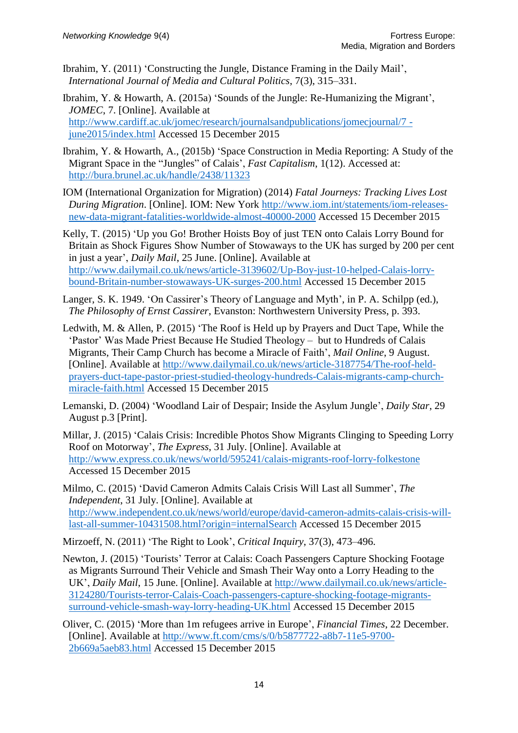Ibrahim, Y. (2011) 'Constructing the Jungle, Distance Framing in the Daily Mail', *International Journal of Media and Cultural Politics*, 7(3), 315–331.

Ibrahim, Y. & Howarth, A. (2015a) 'Sounds of the Jungle: Re-Humanizing the Migrant', *JOMEC*, 7. [Online]. Available at [http://www.cardiff.ac.uk/jomec/research/journalsandpublications/jomecjournal/7](http://www.cardiff.ac.uk/jomec/research/journalsandpublications/jomecjournal/7%20-%20june2015/index.html)  [june2015/index.html](http://www.cardiff.ac.uk/jomec/research/journalsandpublications/jomecjournal/7%20-%20june2015/index.html) Accessed 15 December 2015

- Ibrahim, Y. & Howarth, A., (2015b) 'Space Construction in Media Reporting: A Study of the Migrant Space in the "Jungles" of Calais', *Fast Capitalism*, 1(12). Accessed at: <http://bura.brunel.ac.uk/handle/2438/11323>
- IOM (International Organization for Migration) (2014) *Fatal Journeys: Tracking Lives Lost During Migration*. [Online]. IOM: New York [http://www.iom.int/statements/iom-releases](http://www.iom.int/statements/iom-releases-new-data-migrant-fatalities-worldwide-almost-40000-2000)[new-data-migrant-fatalities-worldwide-almost-40000-2000](http://www.iom.int/statements/iom-releases-new-data-migrant-fatalities-worldwide-almost-40000-2000) Accessed 15 December 2015

Kelly, T. (2015) 'Up you Go! Brother Hoists Boy of just TEN onto Calais Lorry Bound for Britain as Shock Figures Show Number of Stowaways to the UK has surged by 200 per cent in just a year', *Daily Mail*, 25 June. [Online]. Available at [http://www.dailymail.co.uk/news/article-3139602/Up-Boy-just-10-helped-Calais-lorry](http://www.dailymail.co.uk/news/article-3139602/Up-Boy-just-10-helped-Calais-lorry-bound-Britain-number-stowaways-UK-surges-200.html)[bound-Britain-number-stowaways-UK-surges-200.html](http://www.dailymail.co.uk/news/article-3139602/Up-Boy-just-10-helped-Calais-lorry-bound-Britain-number-stowaways-UK-surges-200.html) Accessed 15 December 2015

Langer, S. K. 1949. 'On Cassirer's Theory of Language and Myth', in P. A. Schilpp (ed.), *The Philosophy of Ernst Cassirer*, Evanston: Northwestern University Press, p. 393.

- Ledwith, M. & Allen, P. (2015) 'The Roof is Held up by Prayers and Duct Tape, While the 'Pastor' Was Made Priest Because He Studied Theology – but to Hundreds of Calais Migrants, Their Camp Church has become a Miracle of Faith', *Mail Online*, 9 August. [Online]. Available at [http://www.dailymail.co.uk/news/article-3187754/The-roof-held](http://www.dailymail.co.uk/news/article-3187754/The-roof-held-prayers-duct-tape-pastor-priest-studied-theology-hundreds-Calais-migrants-camp-church-miracle-faith.html)[prayers-duct-tape-pastor-priest-studied-theology-hundreds-Calais-migrants-camp-church](http://www.dailymail.co.uk/news/article-3187754/The-roof-held-prayers-duct-tape-pastor-priest-studied-theology-hundreds-Calais-migrants-camp-church-miracle-faith.html)[miracle-faith.html](http://www.dailymail.co.uk/news/article-3187754/The-roof-held-prayers-duct-tape-pastor-priest-studied-theology-hundreds-Calais-migrants-camp-church-miracle-faith.html) Accessed 15 December 2015
- Lemanski, D. (2004) 'Woodland Lair of Despair; Inside the Asylum Jungle', *Daily Star*, 29 August p.3 [Print].
- Millar, J. (2015) 'Calais Crisis: Incredible Photos Show Migrants Clinging to Speeding Lorry Roof on Motorway', *The Express*, 31 July. [Online]. Available at <http://www.express.co.uk/news/world/595241/calais-migrants-roof-lorry-folkestone> Accessed 15 December 2015

Milmo, C. (2015) 'David Cameron Admits Calais Crisis Will Last all Summer', *The Independent*, 31 July. [Online]. Available at [http://www.independent.co.uk/news/world/europe/david-cameron-admits-calais-crisis-will](http://www.independent.co.uk/news/world/europe/david-cameron-admits-calais-crisis-will-last-all-summer-10431508.html?origin=internalSearch)[last-all-summer-10431508.html?origin=internalSearch](http://www.independent.co.uk/news/world/europe/david-cameron-admits-calais-crisis-will-last-all-summer-10431508.html?origin=internalSearch) Accessed 15 December 2015

Mirzoeff, N. (2011) 'The Right to Look', *Critical Inquiry*, 37(3), 473–496.

- Newton, J. (2015) 'Tourists' Terror at Calais: Coach Passengers Capture Shocking Footage as Migrants Surround Their Vehicle and Smash Their Way onto a Lorry Heading to the UK', *Daily Mail*, 15 June. [Online]. Available at [http://www.dailymail.co.uk/news/article-](http://www.dailymail.co.uk/news/article-3124280/Tourists-terror-Calais-Coach-passengers-capture-shocking-footage-migrants-surround-vehicle-smash-way-lorry-heading-UK.html)[3124280/Tourists-terror-Calais-Coach-passengers-capture-shocking-footage-migrants](http://www.dailymail.co.uk/news/article-3124280/Tourists-terror-Calais-Coach-passengers-capture-shocking-footage-migrants-surround-vehicle-smash-way-lorry-heading-UK.html)[surround-vehicle-smash-way-lorry-heading-UK.html](http://www.dailymail.co.uk/news/article-3124280/Tourists-terror-Calais-Coach-passengers-capture-shocking-footage-migrants-surround-vehicle-smash-way-lorry-heading-UK.html) Accessed 15 December 2015
- Oliver, C. (2015) 'More than 1m refugees arrive in Europe', *Financial Times*, 22 December. [Online]. Available at [http://www.ft.com/cms/s/0/b5877722-a8b7-11e5-9700-](http://www.ft.com/cms/s/0/b5877722-a8b7-11e5-9700-2b669a5aeb83.html) [2b669a5aeb83.html](http://www.ft.com/cms/s/0/b5877722-a8b7-11e5-9700-2b669a5aeb83.html) Accessed 15 December 2015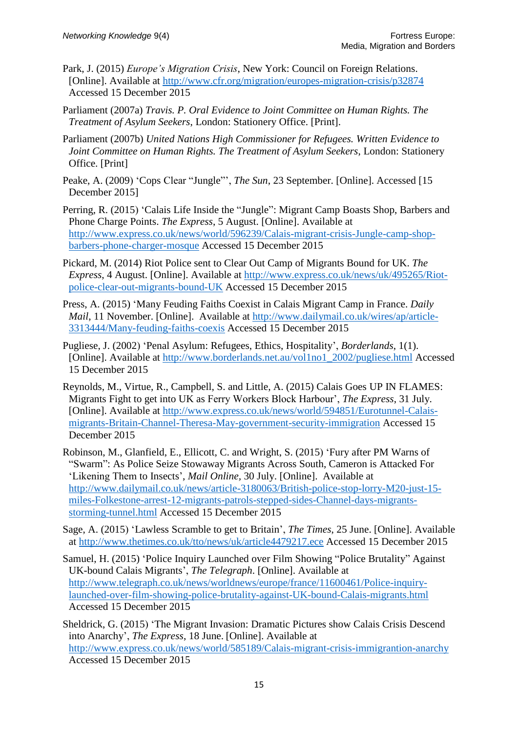- Park, J. (2015) *Europe's Migration Crisis*, New York: Council on Foreign Relations. [Online]. Available at <http://www.cfr.org/migration/europes-migration-crisis/p32874> Accessed 15 December 2015
- Parliament (2007a) *Travis. P. Oral Evidence to Joint Committee on Human Rights. The Treatment of Asylum Seekers*, London: Stationery Office. [Print].
- Parliament (2007b) *United Nations High Commissioner for Refugees. Written Evidence to Joint Committee on Human Rights. The Treatment of Asylum Seekers*, London: Stationery Office. [Print]
- Peake, A. (2009) 'Cops Clear "Jungle"', *The Sun*, 23 September. [Online]. Accessed [15 December 2015]
- Perring, R. (2015) 'Calais Life Inside the "Jungle": Migrant Camp Boasts Shop, Barbers and Phone Charge Points. *The Express*, 5 August. [Online]. Available at [http://www.express.co.uk/news/world/596239/Calais-migrant-crisis-Jungle-camp-shop](http://www.express.co.uk/news/world/596239/Calais-migrant-crisis-Jungle-camp-shop-barbers-phone-charger-mosque)[barbers-phone-charger-mosque](http://www.express.co.uk/news/world/596239/Calais-migrant-crisis-Jungle-camp-shop-barbers-phone-charger-mosque) Accessed 15 December 2015
- Pickard, M. (2014) Riot Police sent to Clear Out Camp of Migrants Bound for UK. *The Express*, 4 August. [Online]. Available at [http://www.express.co.uk/news/uk/495265/Riot](http://www.express.co.uk/news/uk/495265/Riot-police-clear-out-migrants-bound-UK)[police-clear-out-migrants-bound-UK](http://www.express.co.uk/news/uk/495265/Riot-police-clear-out-migrants-bound-UK) Accessed 15 December 2015
- Press, A. (2015) 'Many Feuding Faiths Coexist in Calais Migrant Camp in France. *Daily Mail*, 11 November. [Online]. Available at [http://www.dailymail.co.uk/wires/ap/article-](http://www.dailymail.co.uk/wires/ap/article-3313444/Many-feuding-faiths-coexis)[3313444/Many-feuding-faiths-coexis](http://www.dailymail.co.uk/wires/ap/article-3313444/Many-feuding-faiths-coexis) Accessed 15 December 2015
- Pugliese, J. (2002) 'Penal Asylum: Refugees, Ethics, Hospitality', *Borderlands*, 1(1). [Online]. Available at [http://www.borderlands.net.au/vol1no1\\_2002/pugliese.html](http://www.borderlands.net.au/vol1no1_2002/pugliese.html) Accessed 15 December 2015
- Reynolds, M., Virtue, R., Campbell, S. and Little, A. (2015) Calais Goes UP IN FLAMES: Migrants Fight to get into UK as Ferry Workers Block Harbour', *The Express*, 31 July. [Online]. Available at [http://www.express.co.uk/news/world/594851/Eurotunnel-Calais](http://www.express.co.uk/news/world/594851/Eurotunnel-Calais-migrants-Britain-Channel-Theresa-May-government-security-immigration)[migrants-Britain-Channel-Theresa-May-government-security-immigration](http://www.express.co.uk/news/world/594851/Eurotunnel-Calais-migrants-Britain-Channel-Theresa-May-government-security-immigration) Accessed 15 December 2015
- Robinson, M., Glanfield, E., Ellicott, C. and Wright, S. (2015) 'Fury after PM Warns of "Swarm": As Police Seize Stowaway Migrants Across South, Cameron is Attacked For 'Likening Them to Insects', *Mail Online,* 30 July. [Online]. Available at [http://www.dailymail.co.uk/news/article-3180063/British-police-stop-lorry-M20-just-15](http://www.dailymail.co.uk/news/article-3180063/British-police-stop-lorry-M20-just-15-miles-Folkestone-arrest-12-migrants-patrols-stepped-sides-Channel-days-migrants-storming-tunnel.html) [miles-Folkestone-arrest-12-migrants-patrols-stepped-sides-Channel-days-migrants](http://www.dailymail.co.uk/news/article-3180063/British-police-stop-lorry-M20-just-15-miles-Folkestone-arrest-12-migrants-patrols-stepped-sides-Channel-days-migrants-storming-tunnel.html)[storming-tunnel.html](http://www.dailymail.co.uk/news/article-3180063/British-police-stop-lorry-M20-just-15-miles-Folkestone-arrest-12-migrants-patrols-stepped-sides-Channel-days-migrants-storming-tunnel.html) Accessed 15 December 2015
- Sage, A. (2015) 'Lawless Scramble to get to Britain', *The Times*, 25 June. [Online]. Available at<http://www.thetimes.co.uk/tto/news/uk/article4479217.ece> Accessed 15 December 2015
- Samuel, H. (2015) 'Police Inquiry Launched over Film Showing "Police Brutality" Against UK-bound Calais Migrants', *The Telegraph*. [Online]. Available at [http://www.telegraph.co.uk/news/worldnews/europe/france/11600461/Police-inquiry](http://www.telegraph.co.uk/news/worldnews/europe/france/11600461/Police-inquiry-launched-over-film-showing-police-brutality-against-UK-bound-Calais-migrants.html)[launched-over-film-showing-police-brutality-against-UK-bound-Calais-migrants.html](http://www.telegraph.co.uk/news/worldnews/europe/france/11600461/Police-inquiry-launched-over-film-showing-police-brutality-against-UK-bound-Calais-migrants.html) Accessed 15 December 2015

Sheldrick, G. (2015) 'The Migrant Invasion: Dramatic Pictures show Calais Crisis Descend into Anarchy', *The Express*, 18 June. [Online]. Available at <http://www.express.co.uk/news/world/585189/Calais-migrant-crisis-immigrantion-anarchy> Accessed 15 December 2015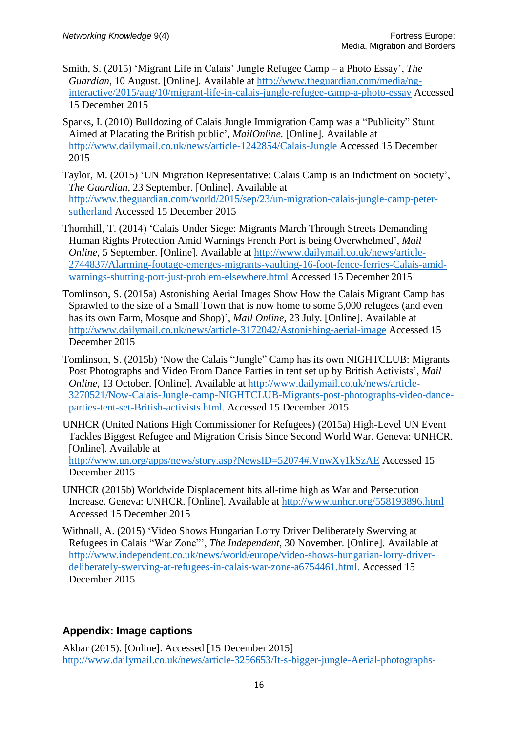- Smith, S. (2015) 'Migrant Life in Calais' Jungle Refugee Camp a Photo Essay', *The Guardian*, 10 August. [Online]. Available at [http://www.theguardian.com/media/ng](http://www.theguardian.com/media/ng-interactive/2015/aug/10/migrant-life-in-calais-jungle-refugee-camp-a-photo-essay)[interactive/2015/aug/10/migrant-life-in-calais-jungle-refugee-camp-a-photo-essay](http://www.theguardian.com/media/ng-interactive/2015/aug/10/migrant-life-in-calais-jungle-refugee-camp-a-photo-essay) Accessed 15 December 2015
- Sparks, I. (2010) Bulldozing of Calais Jungle Immigration Camp was a "Publicity" Stunt Aimed at Placating the British public', *MailOnline.* [Online]. Available at <http://www.dailymail.co.uk/news/article-1242854/Calais-Jungle> Accessed 15 December 2015
- Taylor, M. (2015) 'UN Migration Representative: Calais Camp is an Indictment on Society', *The Guardian*, 23 September. [Online]. Available at [http://www.theguardian.com/world/2015/sep/23/un-migration-calais-jungle-camp-peter](http://www.theguardian.com/world/2015/sep/23/un-migration-calais-jungle-camp-peter-sutherland)[sutherland](http://www.theguardian.com/world/2015/sep/23/un-migration-calais-jungle-camp-peter-sutherland) Accessed 15 December 2015
- Thornhill, T. (2014) 'Calais Under Siege: Migrants March Through Streets Demanding Human Rights Protection Amid Warnings French Port is being Overwhelmed', *Mail Online*, 5 September. [Online]. Available at [http://www.dailymail.co.uk/news/article-](http://www.dailymail.co.uk/news/article-2744837/Alarming-footage-emerges-migrants-vaulting-16-foot-fence-ferries-Calais-amid-warnings-shutting-port-just-problem-elsewhere.html)[2744837/Alarming-footage-emerges-migrants-vaulting-16-foot-fence-ferries-Calais-amid](http://www.dailymail.co.uk/news/article-2744837/Alarming-footage-emerges-migrants-vaulting-16-foot-fence-ferries-Calais-amid-warnings-shutting-port-just-problem-elsewhere.html)[warnings-shutting-port-just-problem-elsewhere.html](http://www.dailymail.co.uk/news/article-2744837/Alarming-footage-emerges-migrants-vaulting-16-foot-fence-ferries-Calais-amid-warnings-shutting-port-just-problem-elsewhere.html) Accessed 15 December 2015
- Tomlinson, S. (2015a) Astonishing Aerial Images Show How the Calais Migrant Camp has Sprawled to the size of a Small Town that is now home to some 5,000 refugees (and even has its own Farm, Mosque and Shop)', *Mail Online*, 23 July. [Online]. Available at <http://www.dailymail.co.uk/news/article-3172042/Astonishing-aerial-image> Accessed 15 December 2015
- Tomlinson, S. (2015b) 'Now the Calais "Jungle" Camp has its own NIGHTCLUB: Migrants Post Photographs and Video From Dance Parties in tent set up by British Activists', *Mail Online*, 13 October. [Online]. Available at [http://www.dailymail.co.uk/news/article-](http://www.dailymail.co.uk/news/article-3270521/Now-Calais-Jungle-camp-NIGHTCLUB-Migrants-post-photographs-video-dance-parties-tent-set-British-activists.html.)[3270521/Now-Calais-Jungle-camp-NIGHTCLUB-Migrants-post-photographs-video-dance](http://www.dailymail.co.uk/news/article-3270521/Now-Calais-Jungle-camp-NIGHTCLUB-Migrants-post-photographs-video-dance-parties-tent-set-British-activists.html.)[parties-tent-set-British-activists.html.](http://www.dailymail.co.uk/news/article-3270521/Now-Calais-Jungle-camp-NIGHTCLUB-Migrants-post-photographs-video-dance-parties-tent-set-British-activists.html.) Accessed 15 December 2015
- UNHCR (United Nations High Commissioner for Refugees) (2015a) High-Level UN Event Tackles Biggest Refugee and Migration Crisis Since Second World War. Geneva: UNHCR. [Online]. Available at [http://www.un.org/apps/news/story.asp?NewsID=52074#.VnwXy1kSzAE](http://www.un.org/apps/news/story.asp?NewsID=52074%23.VnwXy1kSzAE) Accessed 15 December 2015
- UNHCR (2015b) Worldwide Displacement hits all-time high as War and Persecution Increase. Geneva: UNHCR. [Online]. Available at <http://www.unhcr.org/558193896.html> Accessed 15 December 2015
- Withnall, A. (2015) 'Video Shows Hungarian Lorry Driver Deliberately Swerving at Refugees in Calais "War Zone"', *The Independent*, 30 November. [Online]. Available at [http://www.independent.co.uk/news/world/europe/video-shows-hungarian-lorry-driver](http://www.independent.co.uk/news/world/europe/video-shows-hungarian-lorry-driver-deliberately-swerving-at-refugees-in-calais-war-zone-a6754461.html.)[deliberately-swerving-at-refugees-in-calais-war-zone-a6754461.html.](http://www.independent.co.uk/news/world/europe/video-shows-hungarian-lorry-driver-deliberately-swerving-at-refugees-in-calais-war-zone-a6754461.html.) Accessed 15 December 2015

# **Appendix: Image captions**

Akbar (2015). [Online]. Accessed [15 December 2015] [http://www.dailymail.co.uk/news/article-3256653/It-s-bigger-jungle-Aerial-photographs-](http://www.dailymail.co.uk/news/article-3256653/It-s-bigger-jungle-Aerial-photographs-Calais-migrant-camp-rapidly-increased-size-just-three-months-number-people-living-hits-4-000.html.)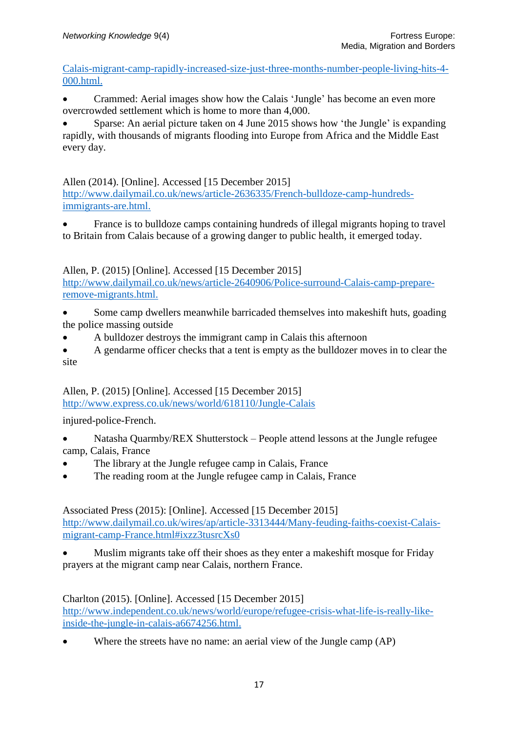[Calais-migrant-camp-rapidly-increased-size-just-three-months-number-people-living-hits-4-](http://www.dailymail.co.uk/news/article-3256653/It-s-bigger-jungle-Aerial-photographs-Calais-migrant-camp-rapidly-increased-size-just-three-months-number-people-living-hits-4-000.html.) [000.html.](http://www.dailymail.co.uk/news/article-3256653/It-s-bigger-jungle-Aerial-photographs-Calais-migrant-camp-rapidly-increased-size-just-three-months-number-people-living-hits-4-000.html.)

• Crammed: Aerial images show how the Calais 'Jungle' has become an even more overcrowded settlement which is home to more than 4,000.

 Sparse: An aerial picture taken on 4 June 2015 shows how 'the Jungle' is expanding rapidly, with thousands of migrants flooding into Europe from Africa and the Middle East every day.

Allen (2014). [Online]. Accessed [15 December 2015]

[http://www.dailymail.co.uk/news/article-2636335/French-bulldoze-camp-hundreds](http://www.dailymail.co.uk/news/article-2636335/French-bulldoze-camp-hundreds-immigrants-are.html.)[immigrants-are.html.](http://www.dailymail.co.uk/news/article-2636335/French-bulldoze-camp-hundreds-immigrants-are.html.)

 France is to bulldoze camps containing hundreds of illegal migrants hoping to travel to Britain from Calais because of a growing danger to public health, it emerged today.

Allen, P. (2015) [Online]. Accessed [15 December 2015]

[http://www.dailymail.co.uk/news/article-2640906/Police-surround-Calais-camp-prepare](http://www.dailymail.co.uk/news/article-2640906/Police-surround-Calais-camp-prepare-remove-migrants.html.)[remove-migrants.html.](http://www.dailymail.co.uk/news/article-2640906/Police-surround-Calais-camp-prepare-remove-migrants.html.)

- Some camp dwellers meanwhile barricaded themselves into makeshift huts, goading the police massing outside
- A bulldozer destroys the immigrant camp in Calais this afternoon
- A gendarme officer checks that a tent is empty as the bulldozer moves in to clear the site

Allen, P. (2015) [Online]. Accessed [15 December 2015] <http://www.express.co.uk/news/world/618110/Jungle-Calais>

injured-police-French.

- Natasha Quarmby/REX Shutterstock People attend lessons at the Jungle refugee camp, Calais, France
- The library at the Jungle refugee camp in Calais, France
- The reading room at the Jungle refugee camp in Calais, France

Associated Press (2015): [Online]. Accessed [15 December 2015] [http://www.dailymail.co.uk/wires/ap/article-3313444/Many-feuding-faiths-coexist-Calais](http://www.dailymail.co.uk/wires/ap/article-3313444/Many-feuding-faiths-coexist-Calais-migrant-camp-France.html%23ixzz3tusrcXs0)[migrant-camp-France.html#ixzz3tusrcXs0](http://www.dailymail.co.uk/wires/ap/article-3313444/Many-feuding-faiths-coexist-Calais-migrant-camp-France.html%23ixzz3tusrcXs0)

 Muslim migrants take off their shoes as they enter a makeshift mosque for Friday prayers at the migrant camp near Calais, northern France.

Charlton (2015). [Online]. Accessed [15 December 2015] [http://www.independent.co.uk/news/world/europe/refugee-crisis-what-life-is-really-like](http://www.independent.co.uk/news/world/europe/refugee-crisis-what-life-is-really-like-inside-the-jungle-in-calais-a6674256.html.)[inside-the-jungle-in-calais-a6674256.html.](http://www.independent.co.uk/news/world/europe/refugee-crisis-what-life-is-really-like-inside-the-jungle-in-calais-a6674256.html.)

• Where the streets have no name: an aerial view of the Jungle camp (AP)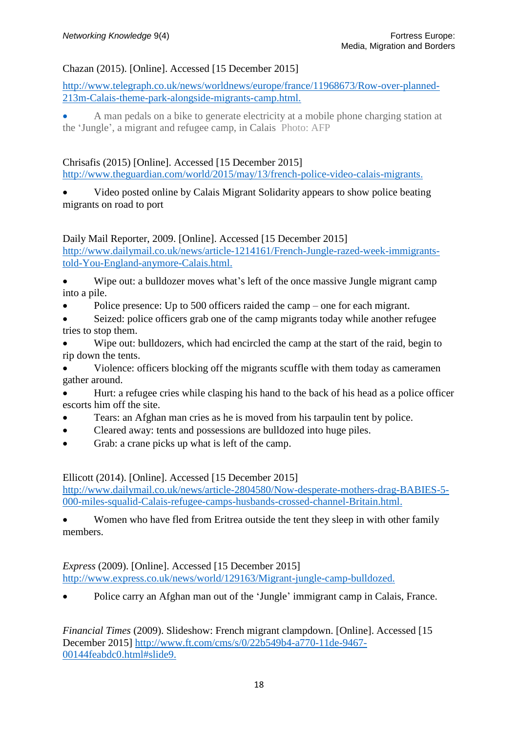#### Chazan (2015). [Online]. Accessed [15 December 2015]

[http://www.telegraph.co.uk/news/worldnews/europe/france/11968673/Row-over-planned-](http://www.telegraph.co.uk/news/worldnews/europe/france/11968673/Row-over-planned-213m-Calais-theme-park-alongside-migrants-camp.html.)[213m-Calais-theme-park-alongside-migrants-camp.html.](http://www.telegraph.co.uk/news/worldnews/europe/france/11968673/Row-over-planned-213m-Calais-theme-park-alongside-migrants-camp.html.)

 A man pedals on a bike to generate electricity at a mobile phone charging station at the 'Jungle', a migrant and refugee camp, in Calais Photo: AFP

#### Chrisafis (2015) [Online]. Accessed [15 December 2015]

<http://www.theguardian.com/world/2015/may/13/french-police-video-calais-migrants.>

 Video posted online by Calais Migrant Solidarity appears to show police beating migrants on road to port

#### Daily Mail Reporter, 2009. [Online]. Accessed [15 December 2015]

[http://www.dailymail.co.uk/news/article-1214161/French-Jungle-razed-week-immigrants](http://www.dailymail.co.uk/news/article-1214161/French-Jungle-razed-week-immigrants-told-You-England-anymore-Calais.html.)[told-You-England-anymore-Calais.html.](http://www.dailymail.co.uk/news/article-1214161/French-Jungle-razed-week-immigrants-told-You-England-anymore-Calais.html.)

 Wipe out: a bulldozer moves what's left of the once massive Jungle migrant camp into a pile.

Police presence: Up to 500 officers raided the camp – one for each migrant.

 Seized: police officers grab one of the camp migrants today while another refugee tries to stop them.

 Wipe out: bulldozers, which had encircled the camp at the start of the raid, begin to rip down the tents.

 Violence: officers blocking off the migrants scuffle with them today as cameramen gather around.

 Hurt: a refugee cries while clasping his hand to the back of his head as a police officer escorts him off the site.

- Tears: an Afghan man cries as he is moved from his tarpaulin tent by police.
- Cleared away: tents and possessions are bulldozed into huge piles.
- Grab: a crane picks up what is left of the camp.

Ellicott (2014). [Online]. Accessed [15 December 2015]

[http://www.dailymail.co.uk/news/article-2804580/Now-desperate-mothers-drag-BABIES-5-](http://www.dailymail.co.uk/news/article-2804580/Now-desperate-mothers-drag-BABIES-5-000-miles-squalid-Calais-refugee-camps-husbands-crossed-channel-Britain.html.) [000-miles-squalid-Calais-refugee-camps-husbands-crossed-channel-Britain.html.](http://www.dailymail.co.uk/news/article-2804580/Now-desperate-mothers-drag-BABIES-5-000-miles-squalid-Calais-refugee-camps-husbands-crossed-channel-Britain.html.)

 Women who have fled from Eritrea outside the tent they sleep in with other family members.

*Express* (2009). [Online]. Accessed [15 December 2015] <http://www.express.co.uk/news/world/129163/Migrant-jungle-camp-bulldozed.>

• Police carry an Afghan man out of the 'Jungle' immigrant camp in Calais, France.

*Financial Times* (2009). Slideshow: French migrant clampdown. [Online]. Accessed [15 December 2015] [http://www.ft.com/cms/s/0/22b549b4-a770-11de-9467-](http://www.ft.com/cms/s/0/22b549b4-a770-11de-9467-00144feabdc0.html%23slide9.) [00144feabdc0.html#slide9.](http://www.ft.com/cms/s/0/22b549b4-a770-11de-9467-00144feabdc0.html%23slide9.)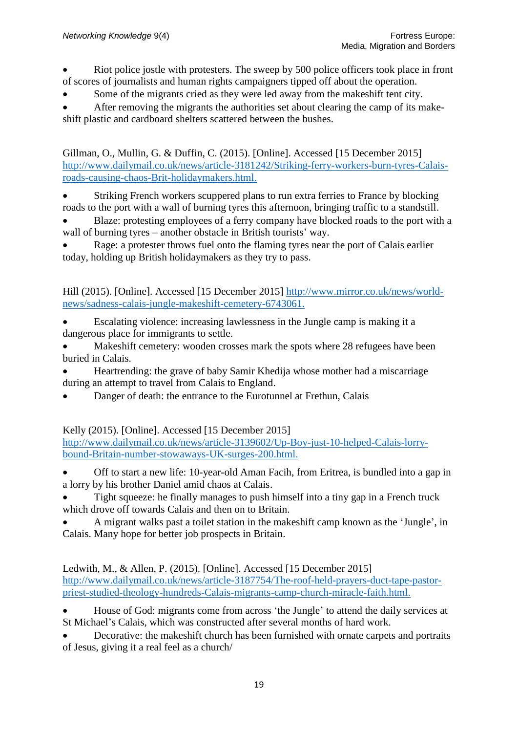- Riot police jostle with protesters. The sweep by 500 police officers took place in front of scores of journalists and human rights campaigners tipped off about the operation.
- Some of the migrants cried as they were led away from the makeshift tent city.

 After removing the migrants the authorities set about clearing the camp of its makeshift plastic and cardboard shelters scattered between the bushes.

Gillman, O., Mullin, G. & Duffin, C. (2015). [Online]. Accessed [15 December 2015] [http://www.dailymail.co.uk/news/article-3181242/Striking-ferry-workers-burn-tyres-Calais](http://www.dailymail.co.uk/news/article-3181242/Striking-ferry-workers-burn-tyres-Calais-roads-causing-chaos-Brit-holidaymakers.html.)[roads-causing-chaos-Brit-holidaymakers.html.](http://www.dailymail.co.uk/news/article-3181242/Striking-ferry-workers-burn-tyres-Calais-roads-causing-chaos-Brit-holidaymakers.html.)

 Striking French workers scuppered plans to run extra ferries to France by blocking roads to the port with a wall of burning tyres this afternoon, bringing traffic to a standstill.

 Blaze: protesting employees of a ferry company have blocked roads to the port with a wall of burning tyres – another obstacle in British tourists' way.

 Rage: a protester throws fuel onto the flaming tyres near the port of Calais earlier today, holding up British holidaymakers as they try to pass.

Hill (2015). [Online]. Accessed [15 December 2015] [http://www.mirror.co.uk/news/world](http://www.mirror.co.uk/news/world-news/sadness-calais-jungle-makeshift-cemetery-6743061.)[news/sadness-calais-jungle-makeshift-cemetery-6743061.](http://www.mirror.co.uk/news/world-news/sadness-calais-jungle-makeshift-cemetery-6743061.)

- Escalating violence: increasing lawlessness in the Jungle camp is making it a dangerous place for immigrants to settle.
- Makeshift cemetery: wooden crosses mark the spots where 28 refugees have been buried in Calais.
- Heartrending: the grave of baby Samir Khedija whose mother had a miscarriage during an attempt to travel from Calais to England.
- Danger of death: the entrance to the Eurotunnel at Frethun, Calais

Kelly (2015). [Online]. Accessed [15 December 2015]

[http://www.dailymail.co.uk/news/article-3139602/Up-Boy-just-10-helped-Calais-lorry](http://www.dailymail.co.uk/news/article-3139602/Up-Boy-just-10-helped-Calais-lorry-bound-Britain-number-stowaways-UK-surges-200.html.)[bound-Britain-number-stowaways-UK-surges-200.html.](http://www.dailymail.co.uk/news/article-3139602/Up-Boy-just-10-helped-Calais-lorry-bound-Britain-number-stowaways-UK-surges-200.html.)

- Off to start a new life: 10-year-old Aman Facih, from Eritrea, is bundled into a gap in a lorry by his brother Daniel amid chaos at Calais.
- Tight squeeze: he finally manages to push himself into a tiny gap in a French truck which drove off towards Calais and then on to Britain.

 A migrant walks past a toilet station in the makeshift camp known as the 'Jungle', in Calais. Many hope for better job prospects in Britain.

Ledwith, M., & Allen, P. (2015). [Online]. Accessed [15 December 2015] [http://www.dailymail.co.uk/news/article-3187754/The-roof-held-prayers-duct-tape-pastor](http://www.dailymail.co.uk/news/article-3187754/The-roof-held-prayers-duct-tape-pastor-priest-studied-theology-hundreds-Calais-migrants-camp-church-miracle-faith.html.)[priest-studied-theology-hundreds-Calais-migrants-camp-church-miracle-faith.html.](http://www.dailymail.co.uk/news/article-3187754/The-roof-held-prayers-duct-tape-pastor-priest-studied-theology-hundreds-Calais-migrants-camp-church-miracle-faith.html.)

- House of God: migrants come from across 'the Jungle' to attend the daily services at St Michael's Calais, which was constructed after several months of hard work.
- Decorative: the makeshift church has been furnished with ornate carpets and portraits of Jesus, giving it a real feel as a church/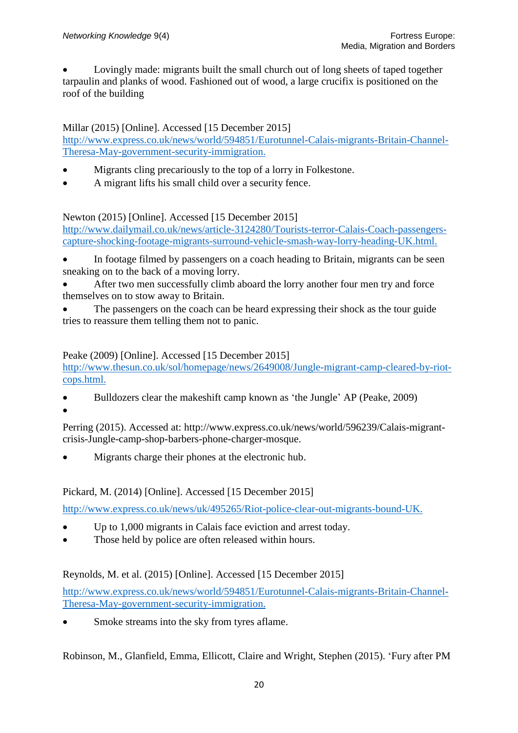Lovingly made: migrants built the small church out of long sheets of taped together tarpaulin and planks of wood. Fashioned out of wood, a large crucifix is positioned on the roof of the building

Millar (2015) [Online]. Accessed [15 December 2015]

[http://www.express.co.uk/news/world/594851/Eurotunnel-Calais-migrants-Britain-Channel-](http://www.express.co.uk/news/world/594851/Eurotunnel-Calais-migrants-Britain-Channel-Theresa-May-government-security-immigration.)[Theresa-May-government-security-immigration.](http://www.express.co.uk/news/world/594851/Eurotunnel-Calais-migrants-Britain-Channel-Theresa-May-government-security-immigration.)

- Migrants cling precariously to the top of a lorry in Folkestone.
- A migrant lifts his small child over a security fence.

Newton (2015) [Online]. Accessed [15 December 2015]

[http://www.dailymail.co.uk/news/article-3124280/Tourists-terror-Calais-Coach-passengers](http://www.dailymail.co.uk/news/article-3124280/Tourists-terror-Calais-Coach-passengers-capture-shocking-footage-migrants-surround-vehicle-smash-way-lorry-heading-UK.html.)[capture-shocking-footage-migrants-surround-vehicle-smash-way-lorry-heading-UK.html.](http://www.dailymail.co.uk/news/article-3124280/Tourists-terror-Calais-Coach-passengers-capture-shocking-footage-migrants-surround-vehicle-smash-way-lorry-heading-UK.html.)

- In footage filmed by passengers on a coach heading to Britain, migrants can be seen sneaking on to the back of a moving lorry.
- After two men successfully climb aboard the lorry another four men try and force themselves on to stow away to Britain.
- The passengers on the coach can be heard expressing their shock as the tour guide tries to reassure them telling them not to panic.

#### Peake (2009) [Online]. Accessed [15 December 2015]

[http://www.thesun.co.uk/sol/homepage/news/2649008/Jungle-migrant-camp-cleared-by-riot](http://www.thesun.co.uk/sol/homepage/news/2649008/Jungle-migrant-camp-cleared-by-riot-cops.html.)[cops.html.](http://www.thesun.co.uk/sol/homepage/news/2649008/Jungle-migrant-camp-cleared-by-riot-cops.html.)

 Bulldozers clear the makeshift camp known as 'the Jungle' AP (Peake, 2009)  $\bullet$ 

Perring (2015). Accessed at: http://www.express.co.uk/news/world/596239/Calais-migrantcrisis-Jungle-camp-shop-barbers-phone-charger-mosque.

Migrants charge their phones at the electronic hub.

Pickard, M. (2014) [Online]. Accessed [15 December 2015]

<http://www.express.co.uk/news/uk/495265/Riot-police-clear-out-migrants-bound-UK.>

- Up to 1,000 migrants in Calais face eviction and arrest today.
- Those held by police are often released within hours.

Reynolds, M. et al. (2015) [Online]. Accessed [15 December 2015]

[http://www.express.co.uk/news/world/594851/Eurotunnel-Calais-migrants-Britain-Channel-](http://www.express.co.uk/news/world/594851/Eurotunnel-Calais-migrants-Britain-Channel-Theresa-May-government-security-immigration.)[Theresa-May-government-security-immigration.](http://www.express.co.uk/news/world/594851/Eurotunnel-Calais-migrants-Britain-Channel-Theresa-May-government-security-immigration.)

• Smoke streams into the sky from tyres aflame.

Robinson, M., Glanfield, Emma, Ellicott, Claire and Wright, Stephen (2015). 'Fury after PM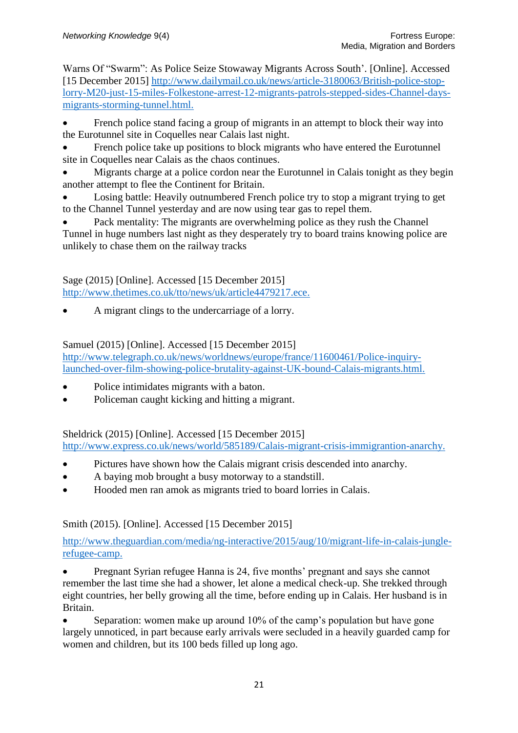Warns Of "Swarm": As Police Seize Stowaway Migrants Across South'. [Online]. Accessed [15 December 2015] [http://www.dailymail.co.uk/news/article-3180063/British-police-stop](http://www.dailymail.co.uk/news/article-3180063/British-police-stop-lorry-M20-just-15-miles-Folkestone-arrest-12-migrants-patrols-stepped-sides-Channel-days-migrants-storming-tunnel.html.)[lorry-M20-just-15-miles-Folkestone-arrest-12-migrants-patrols-stepped-sides-Channel-days](http://www.dailymail.co.uk/news/article-3180063/British-police-stop-lorry-M20-just-15-miles-Folkestone-arrest-12-migrants-patrols-stepped-sides-Channel-days-migrants-storming-tunnel.html.)[migrants-storming-tunnel.html.](http://www.dailymail.co.uk/news/article-3180063/British-police-stop-lorry-M20-just-15-miles-Folkestone-arrest-12-migrants-patrols-stepped-sides-Channel-days-migrants-storming-tunnel.html.)

• French police stand facing a group of migrants in an attempt to block their way into the Eurotunnel site in Coquelles near Calais last night.

 French police take up positions to block migrants who have entered the Eurotunnel site in Coquelles near Calais as the chaos continues.

 Migrants charge at a police cordon near the Eurotunnel in Calais tonight as they begin another attempt to flee the Continent for Britain.

 Losing battle: Heavily outnumbered French police try to stop a migrant trying to get to the Channel Tunnel yesterday and are now using tear gas to repel them.

 Pack mentality: The migrants are overwhelming police as they rush the Channel Tunnel in huge numbers last night as they desperately try to board trains knowing police are unlikely to chase them on the railway tracks

Sage (2015) [Online]. Accessed [15 December 2015] <http://www.thetimes.co.uk/tto/news/uk/article4479217.ece.>

A migrant clings to the undercarriage of a lorry.

Samuel (2015) [Online]. Accessed [15 December 2015]

[http://www.telegraph.co.uk/news/worldnews/europe/france/11600461/Police-inquiry](http://www.telegraph.co.uk/news/worldnews/europe/france/11600461/Police-inquiry-launched-over-film-showing-police-brutality-against-UK-bound-Calais-migrants.html.)[launched-over-film-showing-police-brutality-against-UK-bound-Calais-migrants.html.](http://www.telegraph.co.uk/news/worldnews/europe/france/11600461/Police-inquiry-launched-over-film-showing-police-brutality-against-UK-bound-Calais-migrants.html.)

- Police intimidates migrants with a baton.
- Policeman caught kicking and hitting a migrant.

Sheldrick (2015) [Online]. Accessed [15 December 2015]

<http://www.express.co.uk/news/world/585189/Calais-migrant-crisis-immigrantion-anarchy.>

- Pictures have shown how the Calais migrant crisis descended into anarchy.
- A baying mob brought a busy motorway to a standstill.
- Hooded men ran amok as migrants tried to board lorries in Calais.

#### Smith (2015). [Online]. Accessed [15 December 2015]

[http://www.theguardian.com/media/ng-interactive/2015/aug/10/migrant-life-in-calais-jungle](http://www.theguardian.com/media/ng-interactive/2015/aug/10/migrant-life-in-calais-jungle-refugee-camp.)[refugee-camp.](http://www.theguardian.com/media/ng-interactive/2015/aug/10/migrant-life-in-calais-jungle-refugee-camp.)

 Pregnant Syrian refugee Hanna is 24, five months' pregnant and says she cannot remember the last time she had a shower, let alone a medical check-up. She trekked through eight countries, her belly growing all the time, before ending up in Calais. Her husband is in Britain.

 Separation: women make up around 10% of the camp's population but have gone largely unnoticed, in part because early arrivals were secluded in a heavily guarded camp for women and children, but its 100 beds filled up long ago.